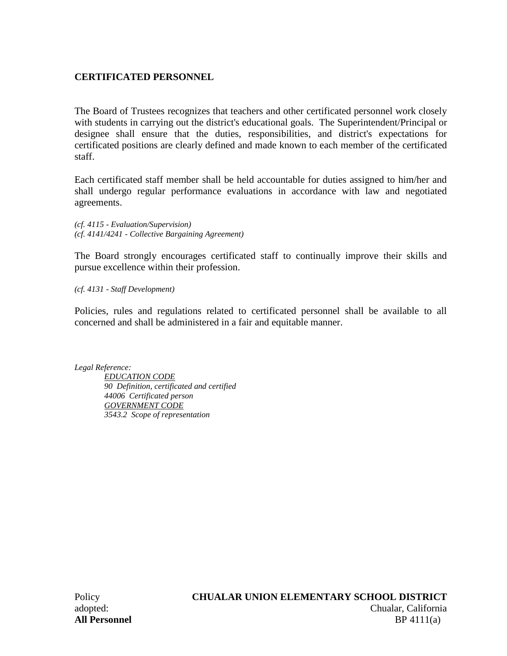# **CERTIFICATED PERSONNEL**

The Board of Trustees recognizes that teachers and other certificated personnel work closely with students in carrying out the district's educational goals. The Superintendent/Principal or designee shall ensure that the duties, responsibilities, and district's expectations for certificated positions are clearly defined and made known to each member of the certificated staff.

Each certificated staff member shall be held accountable for duties assigned to him/her and shall undergo regular performance evaluations in accordance with law and negotiated agreements.

*(cf. 4115 - Evaluation/Supervision) (cf. 4141/4241 - Collective Bargaining Agreement)*

The Board strongly encourages certificated staff to continually improve their skills and pursue excellence within their profession.

*(cf. 4131 - Staff Development)*

Policies, rules and regulations related to certificated personnel shall be available to all concerned and shall be administered in a fair and equitable manner.

*Legal Reference:*

*EDUCATION CODE 90 Definition, certificated and certified 44006 Certificated person GOVERNMENT CODE 3543.2 Scope of representation*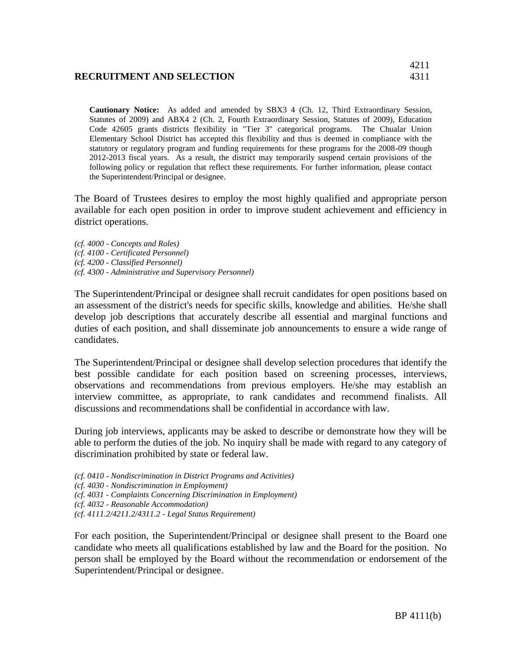#### **RECRUITMENT AND SELECTION** 4311

**Cautionary Notice:** As added and amended by SBX3 4 (Ch. 12, Third Extraordinary Session, Statutes of 2009) and ABX4 2 (Ch. 2, Fourth Extraordinary Session, Statutes of 2009), Education Code 42605 grants districts flexibility in "Tier 3" categorical programs. The Chualar Union Elementary School District has accepted this flexibility and thus is deemed in compliance with the statutory or regulatory program and funding requirements for these programs for the 2008-09 though 2012-2013 fiscal years. As a result, the district may temporarily suspend certain provisions of the following policy or regulation that reflect these requirements. For further information, please contact the Superintendent/Principal or designee.

The Board of Trustees desires to employ the most highly qualified and appropriate person available for each open position in order to improve student achievement and efficiency in district operations.

*(cf. 4000 - Concepts and Roles) (cf. 4100 - Certificated Personnel) (cf. 4200 - Classified Personnel) (cf. 4300 - Administrative and Supervisory Personnel)* 

The Superintendent/Principal or designee shall recruit candidates for open positions based on an assessment of the district's needs for specific skills, knowledge and abilities. He/she shall develop job descriptions that accurately describe all essential and marginal functions and duties of each position, and shall disseminate job announcements to ensure a wide range of candidates.

The Superintendent/Principal or designee shall develop selection procedures that identify the best possible candidate for each position based on screening processes, interviews, observations and recommendations from previous employers. He/she may establish an interview committee, as appropriate, to rank candidates and recommend finalists. All discussions and recommendations shall be confidential in accordance with law.

During job interviews, applicants may be asked to describe or demonstrate how they will be able to perform the duties of the job. No inquiry shall be made with regard to any category of discrimination prohibited by state or federal law.

- *(cf. 0410 Nondiscrimination in District Programs and Activities)*
- *(cf. 4030 Nondiscrimination in Employment)*
- *(cf. 4031 Complaints Concerning Discrimination in Employment)*
- *(cf. 4032 Reasonable Accommodation)*
- *(cf. 4111.2/4211.2/4311.2 Legal Status Requirement)*

For each position, the Superintendent/Principal or designee shall present to the Board one candidate who meets all qualifications established by law and the Board for the position. No person shall be employed by the Board without the recommendation or endorsement of the Superintendent/Principal or designee.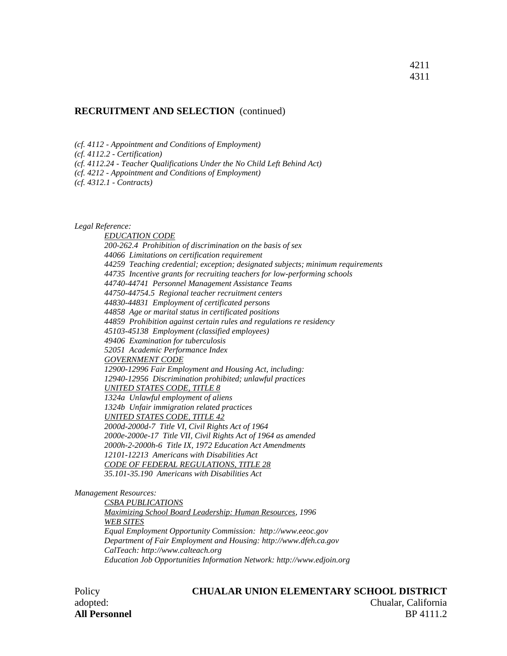#### **RECRUITMENT AND SELECTION** (continued)

*(cf. 4112 - Appointment and Conditions of Employment)*

*(cf. 4112.2 - Certification)*

*(cf. 4112.24 - Teacher Qualifications Under the No Child Left Behind Act)*

*(cf. 4212 - Appointment and Conditions of Employment)*

*(cf. 4312.1 - Contracts)*

*Legal Reference:*

*EDUCATION CODE 200-262.4 Prohibition of discrimination on the basis of sex 44066 Limitations on certification requirement 44259 Teaching credential; exception; designated subjects; minimum requirements 44735 Incentive grants for recruiting teachers for low-performing schools 44740-44741 Personnel Management Assistance Teams 44750-44754.5 Regional teacher recruitment centers 44830-44831 Employment of certificated persons 44858 Age or marital status in certificated positions 44859 Prohibition against certain rules and regulations re residency 45103-45138 Employment (classified employees) 49406 Examination for tuberculosis 52051 Academic Performance Index GOVERNMENT CODE 12900-12996 Fair Employment and Housing Act, including: 12940-12956 Discrimination prohibited; unlawful practices UNITED STATES CODE, TITLE 8 1324a Unlawful employment of aliens 1324b Unfair immigration related practices UNITED STATES CODE, TITLE 42 2000d-2000d-7 Title VI, Civil Rights Act of 1964 2000e-2000e-17 Title VII, Civil Rights Act of 1964 as amended 2000h-2-2000h-6 Title IX, 1972 Education Act Amendments 12101-12213 Americans with Disabilities Act CODE OF FEDERAL REGULATIONS, TITLE 28 35.101-35.190 Americans with Disabilities Act*

*Management Resources:*

*CSBA PUBLICATIONS Maximizing School Board Leadership: Human Resources, 1996 WEB SITES Equal Employment Opportunity Commission: http://www.eeoc.gov Department of Fair Employment and Housing: http://www.dfeh.ca.gov CalTeach: http://www.calteach.org Education Job Opportunities Information Network: http://www.edjoin.org*

#### Policy **CHUALAR UNION ELEMENTARY SCHOOL DISTRICT** adopted: Chualar, California **All Personnel** BP 4111.2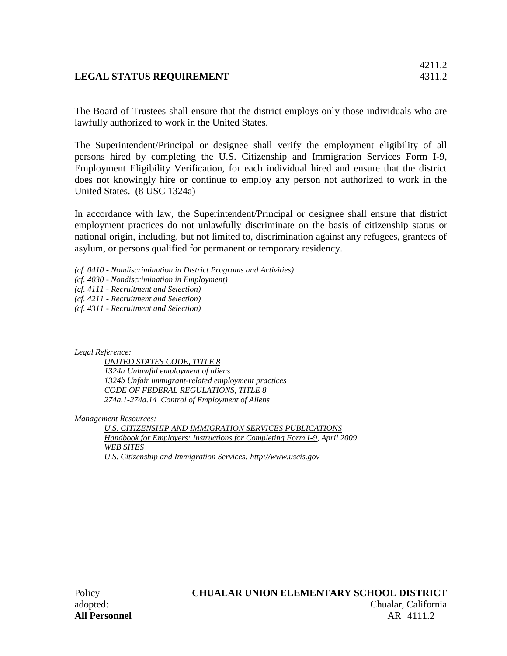# **LEGAL STATUS REQUIREMENT** 4311.2

4211.2

The Board of Trustees shall ensure that the district employs only those individuals who are lawfully authorized to work in the United States.

The Superintendent/Principal or designee shall verify the employment eligibility of all persons hired by completing the U.S. Citizenship and Immigration Services Form I-9, Employment Eligibility Verification, for each individual hired and ensure that the district does not knowingly hire or continue to employ any person not authorized to work in the United States. (8 USC 1324a)

In accordance with law, the Superintendent/Principal or designee shall ensure that district employment practices do not unlawfully discriminate on the basis of citizenship status or national origin, including, but not limited to, discrimination against any refugees, grantees of asylum, or persons qualified for permanent or temporary residency.

- *(cf. 0410 - Nondiscrimination in District Programs and Activities)*
- *(cf. 4030 - Nondiscrimination in Employment)*
- *(cf. 4111 - Recruitment and Selection)*
- *(cf. 4211 - Recruitment and Selection)*
- *(cf. 4311 - Recruitment and Selection)*

*Legal Reference:*

*UNITED STATES CODE, TITLE 8 1324a Unlawful employment of aliens 1324b Unfair immigrant-related employment practices CODE OF FEDERAL REGULATIONS, TITLE 8 274a.1-274a.14 Control of Employment of Aliens*

*Management Resources:*

*U.S. CITIZENSHIP AND IMMIGRATION SERVICES PUBLICATIONS Handbook for Employers: Instructions for Completing Form I-9, April 2009 WEB SITES U.S. Citizenship and Immigration Services: http://www.uscis.gov*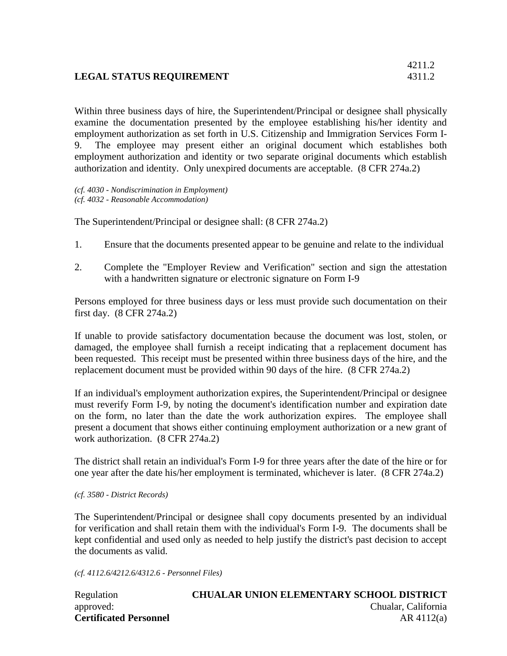# **LEGAL STATUS REQUIREMENT** 4311.2

Within three business days of hire, the Superintendent/Principal or designee shall physically examine the documentation presented by the employee establishing his/her identity and employment authorization as set forth in U.S. Citizenship and Immigration Services Form I-9. The employee may present either an original document which establishes both employment authorization and identity or two separate original documents which establish authorization and identity. Only unexpired documents are acceptable. (8 CFR 274a.2)

*(cf. 4030 - Nondiscrimination in Employment) (cf. 4032 - Reasonable Accommodation)*

The Superintendent/Principal or designee shall: (8 CFR 274a.2)

- 1. Ensure that the documents presented appear to be genuine and relate to the individual
- 2. Complete the "Employer Review and Verification" section and sign the attestation with a handwritten signature or electronic signature on Form I-9

Persons employed for three business days or less must provide such documentation on their first day. (8 CFR 274a.2)

If unable to provide satisfactory documentation because the document was lost, stolen, or damaged, the employee shall furnish a receipt indicating that a replacement document has been requested. This receipt must be presented within three business days of the hire, and the replacement document must be provided within 90 days of the hire. (8 CFR 274a.2)

If an individual's employment authorization expires, the Superintendent/Principal or designee must reverify Form I-9, by noting the document's identification number and expiration date on the form, no later than the date the work authorization expires. The employee shall present a document that shows either continuing employment authorization or a new grant of work authorization. (8 CFR 274a.2)

The district shall retain an individual's Form I-9 for three years after the date of the hire or for one year after the date his/her employment is terminated, whichever is later. (8 CFR 274a.2)

#### *(cf. 3580 - District Records)*

The Superintendent/Principal or designee shall copy documents presented by an individual for verification and shall retain them with the individual's Form I-9. The documents shall be kept confidential and used only as needed to help justify the district's past decision to accept the documents as valid.

*(cf. 4112.6/4212.6/4312.6 - Personnel Files)*

| Regulation                    | <b>CHUALAR UNION ELEMENTARY SCHOOL DISTRICT</b> |
|-------------------------------|-------------------------------------------------|
| approved:                     | Chualar, California                             |
| <b>Certificated Personnel</b> | $AR$ 4112(a)                                    |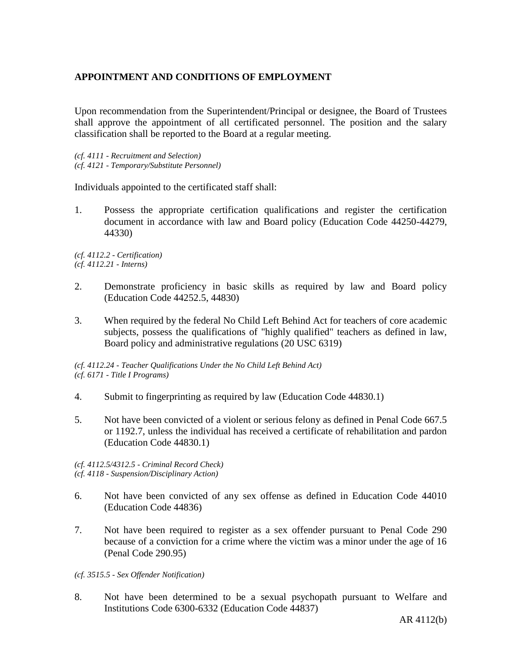# **APPOINTMENT AND CONDITIONS OF EMPLOYMENT**

Upon recommendation from the Superintendent/Principal or designee, the Board of Trustees shall approve the appointment of all certificated personnel. The position and the salary classification shall be reported to the Board at a regular meeting.

*(cf. 4111 - Recruitment and Selection) (cf. 4121 - Temporary/Substitute Personnel)*

Individuals appointed to the certificated staff shall:

1. Possess the appropriate certification qualifications and register the certification document in accordance with law and Board policy (Education Code 44250-44279, 44330)

*(cf. 4112.2 - Certification) (cf. 4112.21 - Interns)*

- 2. Demonstrate proficiency in basic skills as required by law and Board policy (Education Code 44252.5, 44830)
- 3. When required by the federal No Child Left Behind Act for teachers of core academic subjects, possess the qualifications of "highly qualified" teachers as defined in law, Board policy and administrative regulations (20 USC 6319)

*(cf. 4112.24 - Teacher Qualifications Under the No Child Left Behind Act) (cf. 6171 - Title I Programs)*

- 4. Submit to fingerprinting as required by law (Education Code 44830.1)
- 5. Not have been convicted of a violent or serious felony as defined in Penal Code 667.5 or 1192.7, unless the individual has received a certificate of rehabilitation and pardon (Education Code 44830.1)

*(cf. 4112.5/4312.5 - Criminal Record Check) (cf. 4118 - Suspension/Disciplinary Action)*

- 6. Not have been convicted of any sex offense as defined in Education Code 44010 (Education Code 44836)
- 7. Not have been required to register as a sex offender pursuant to Penal Code 290 because of a conviction for a crime where the victim was a minor under the age of 16 (Penal Code 290.95)
- *(cf. 3515.5 - Sex Offender Notification)*
- 8. Not have been determined to be a sexual psychopath pursuant to Welfare and Institutions Code 6300-6332 (Education Code 44837)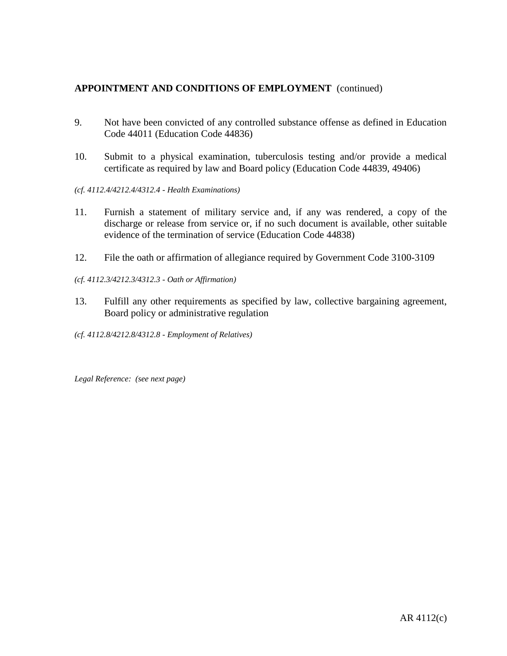# **APPOINTMENT AND CONDITIONS OF EMPLOYMENT** (continued)

- 9. Not have been convicted of any controlled substance offense as defined in Education Code 44011 (Education Code 44836)
- 10. Submit to a physical examination, tuberculosis testing and/or provide a medical certificate as required by law and Board policy (Education Code 44839, 49406)
- *(cf. 4112.4/4212.4/4312.4 - Health Examinations)*
- 11. Furnish a statement of military service and, if any was rendered, a copy of the discharge or release from service or, if no such document is available, other suitable evidence of the termination of service (Education Code 44838)
- 12. File the oath or affirmation of allegiance required by Government Code 3100-3109
- *(cf. 4112.3/4212.3/4312.3 - Oath or Affirmation)*
- 13. Fulfill any other requirements as specified by law, collective bargaining agreement, Board policy or administrative regulation
- *(cf. 4112.8/4212.8/4312.8 - Employment of Relatives)*

*Legal Reference: (see next page)*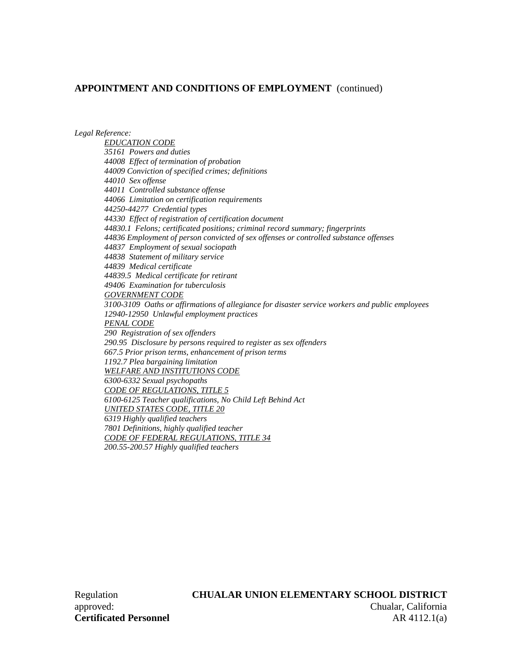### **APPOINTMENT AND CONDITIONS OF EMPLOYMENT** (continued)

*Legal Reference:*

*EDUCATION CODE 35161 Powers and duties 44008 Effect of termination of probation 44009 Conviction of specified crimes; definitions 44010 Sex offense 44011 Controlled substance offense 44066 Limitation on certification requirements 44250-44277 Credential types 44330 Effect of registration of certification document 44830.1 Felons; certificated positions; criminal record summary; fingerprints 44836 Employment of person convicted of sex offenses or controlled substance offenses 44837 Employment of sexual sociopath 44838 Statement of military service 44839 Medical certificate 44839.5 Medical certificate for retirant 49406 Examination for tuberculosis GOVERNMENT CODE 3100-3109 Oaths or affirmations of allegiance for disaster service workers and public employees 12940-12950 Unlawful employment practices PENAL CODE 290 Registration of sex offenders 290.95 Disclosure by persons required to register as sex offenders 667.5 Prior prison terms, enhancement of prison terms 1192.7 Plea bargaining limitation WELFARE AND INSTITUTIONS CODE 6300-6332 Sexual psychopaths CODE OF REGULATIONS, TITLE 5 6100-6125 Teacher qualifications, No Child Left Behind Act UNITED STATES CODE, TITLE 20 6319 Highly qualified teachers 7801 Definitions, highly qualified teacher CODE OF FEDERAL REGULATIONS, TITLE 34*

*200.55-200.57 Highly qualified teachers*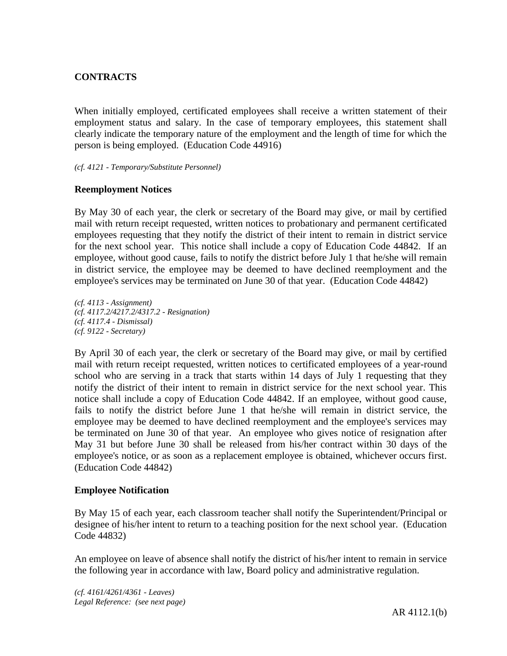## **CONTRACTS**

When initially employed, certificated employees shall receive a written statement of their employment status and salary. In the case of temporary employees, this statement shall clearly indicate the temporary nature of the employment and the length of time for which the person is being employed. (Education Code 44916)

#### *(cf. 4121 - Temporary/Substitute Personnel)*

#### **Reemployment Notices**

By May 30 of each year, the clerk or secretary of the Board may give, or mail by certified mail with return receipt requested, written notices to probationary and permanent certificated employees requesting that they notify the district of their intent to remain in district service for the next school year. This notice shall include a copy of Education Code 44842. If an employee, without good cause, fails to notify the district before July 1 that he/she will remain in district service, the employee may be deemed to have declined reemployment and the employee's services may be terminated on June 30 of that year. (Education Code 44842)

*(cf. 4113 - Assignment) (cf. 4117.2/4217.2/4317.2 - Resignation) (cf. 4117.4 - Dismissal) (cf. 9122 - Secretary)*

By April 30 of each year, the clerk or secretary of the Board may give, or mail by certified mail with return receipt requested, written notices to certificated employees of a year-round school who are serving in a track that starts within 14 days of July 1 requesting that they notify the district of their intent to remain in district service for the next school year. This notice shall include a copy of Education Code 44842. If an employee, without good cause, fails to notify the district before June 1 that he/she will remain in district service, the employee may be deemed to have declined reemployment and the employee's services may be terminated on June 30 of that year. An employee who gives notice of resignation after May 31 but before June 30 shall be released from his/her contract within 30 days of the employee's notice, or as soon as a replacement employee is obtained, whichever occurs first. (Education Code 44842)

#### **Employee Notification**

By May 15 of each year, each classroom teacher shall notify the Superintendent/Principal or designee of his/her intent to return to a teaching position for the next school year. (Education Code 44832)

An employee on leave of absence shall notify the district of his/her intent to remain in service the following year in accordance with law, Board policy and administrative regulation.

*(cf. 4161/4261/4361 - Leaves) Legal Reference: (see next page)*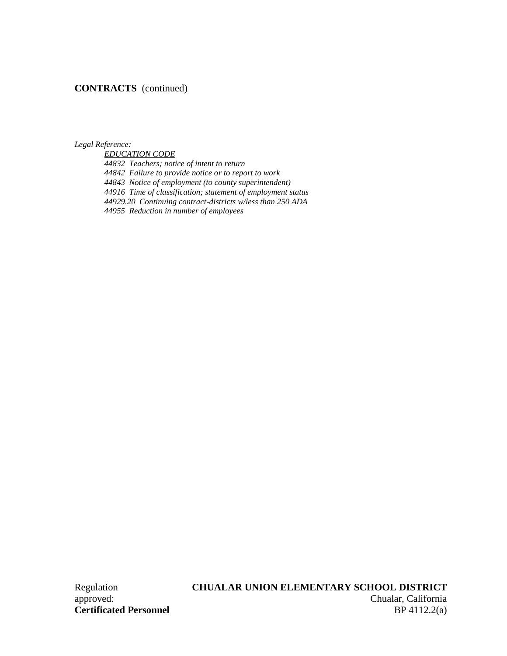# **CONTRACTS** (continued)

*Legal Reference:*

*EDUCATION CODE*

*44832 Teachers; notice of intent to return 44842 Failure to provide notice or to report to work 44843 Notice of employment (to county superintendent) 44916 Time of classification; statement of employment status 44929.20 Continuing contract-districts w/less than 250 ADA 44955 Reduction in number of employees*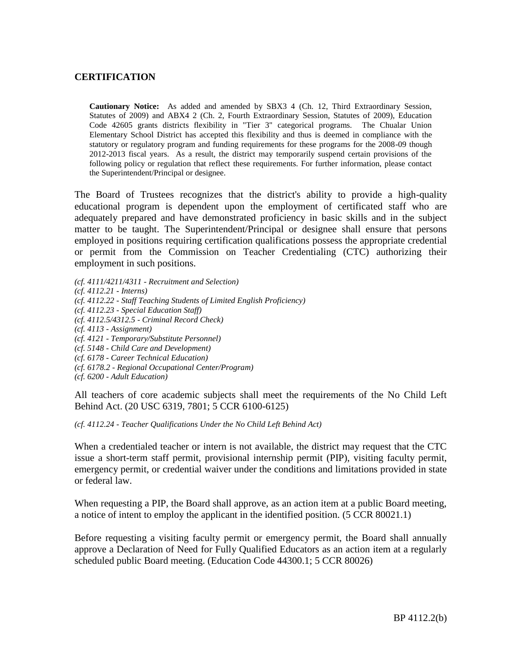## **CERTIFICATION**

**Cautionary Notice:** As added and amended by SBX3 4 (Ch. 12, Third Extraordinary Session, Statutes of 2009) and ABX4 2 (Ch. 2, Fourth Extraordinary Session, Statutes of 2009), Education Code 42605 grants districts flexibility in "Tier 3" categorical programs. The Chualar Union Elementary School District has accepted this flexibility and thus is deemed in compliance with the statutory or regulatory program and funding requirements for these programs for the 2008-09 though 2012-2013 fiscal years. As a result, the district may temporarily suspend certain provisions of the following policy or regulation that reflect these requirements. For further information, please contact the Superintendent/Principal or designee.

The Board of Trustees recognizes that the district's ability to provide a high-quality educational program is dependent upon the employment of certificated staff who are adequately prepared and have demonstrated proficiency in basic skills and in the subject matter to be taught. The Superintendent/Principal or designee shall ensure that persons employed in positions requiring certification qualifications possess the appropriate credential or permit from the Commission on Teacher Credentialing (CTC) authorizing their employment in such positions.

*(cf. 4111/4211/4311 - Recruitment and Selection) (cf. 4112.21 - Interns) (cf. 4112.22 - Staff Teaching Students of Limited English Proficiency) (cf. 4112.23 - Special Education Staff) (cf. 4112.5/4312.5 - Criminal Record Check) (cf. 4113 - Assignment) (cf. 4121 - Temporary/Substitute Personnel) (cf. 5148 - Child Care and Development) (cf. 6178 - Career Technical Education) (cf. 6178.2 - Regional Occupational Center/Program) (cf. 6200 - Adult Education)*

All teachers of core academic subjects shall meet the requirements of the No Child Left Behind Act. (20 USC 6319, 7801; 5 CCR 6100-6125)

*(cf. 4112.24 - Teacher Qualifications Under the No Child Left Behind Act)*

When a credentialed teacher or intern is not available, the district may request that the CTC issue a short-term staff permit, provisional internship permit (PIP), visiting faculty permit, emergency permit, or credential waiver under the conditions and limitations provided in state or federal law.

When requesting a PIP, the Board shall approve, as an action item at a public Board meeting, a notice of intent to employ the applicant in the identified position. (5 CCR 80021.1)

Before requesting a visiting faculty permit or emergency permit, the Board shall annually approve a Declaration of Need for Fully Qualified Educators as an action item at a regularly scheduled public Board meeting. (Education Code 44300.1; 5 CCR 80026)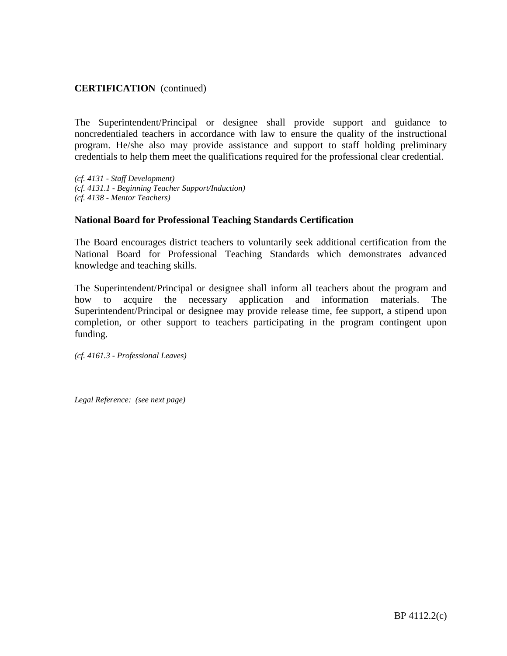The Superintendent/Principal or designee shall provide support and guidance to noncredentialed teachers in accordance with law to ensure the quality of the instructional program. He/she also may provide assistance and support to staff holding preliminary credentials to help them meet the qualifications required for the professional clear credential.

*(cf. 4131 - Staff Development) (cf. 4131.1 - Beginning Teacher Support/Induction) (cf. 4138 - Mentor Teachers)*

#### **National Board for Professional Teaching Standards Certification**

The Board encourages district teachers to voluntarily seek additional certification from the National Board for Professional Teaching Standards which demonstrates advanced knowledge and teaching skills.

The Superintendent/Principal or designee shall inform all teachers about the program and how to acquire the necessary application and information materials. The Superintendent/Principal or designee may provide release time, fee support, a stipend upon completion, or other support to teachers participating in the program contingent upon funding.

*(cf. 4161.3 - Professional Leaves)*

*Legal Reference: (see next page)*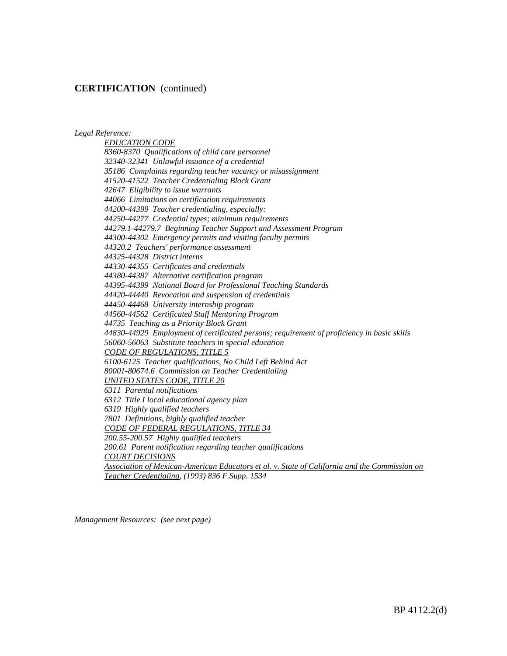*Legal Reference:*

*EDUCATION CODE 8360-8370 Qualifications of child care personnel 32340-32341 Unlawful issuance of a credential 35186 Complaints regarding teacher vacancy or misassignment 41520-41522 Teacher Credentialing Block Grant 42647 Eligibility to issue warrants 44066 Limitations on certification requirements 44200-44399 Teacher credentialing, especially: 44250-44277 Credential types; minimum requirements 44279.1-44279.7 Beginning Teacher Support and Assessment Program 44300-44302 Emergency permits and visiting faculty permits 44320.2 Teachers' performance assessment 44325-44328 District interns 44330-44355 Certificates and credentials 44380-44387 Alternative certification program 44395-44399 National Board for Professional Teaching Standards 44420-44440 Revocation and suspension of credentials 44450-44468 University internship program 44560-44562 Certificated Staff Mentoring Program 44735 Teaching as a Priority Block Grant 44830-44929 Employment of certificated persons; requirement of proficiency in basic skills 56060-56063 Substitute teachers in special education CODE OF REGULATIONS, TITLE 5 6100-6125 Teacher qualifications, No Child Left Behind Act 80001-80674.6 Commission on Teacher Credentialing UNITED STATES CODE, TITLE 20 6311 Parental notifications 6312 Title I local educational agency plan 6319 Highly qualified teachers 7801 Definitions, highly qualified teacher CODE OF FEDERAL REGULATIONS, TITLE 34 200.55-200.57 Highly qualified teachers 200.61 Parent notification regarding teacher qualifications COURT DECISIONS Association of Mexican-American Educators et al. v. State of California and the Commission on Teacher Credentialing, (1993) 836 F.Supp. 1534*

*Management Resources: (see next page)*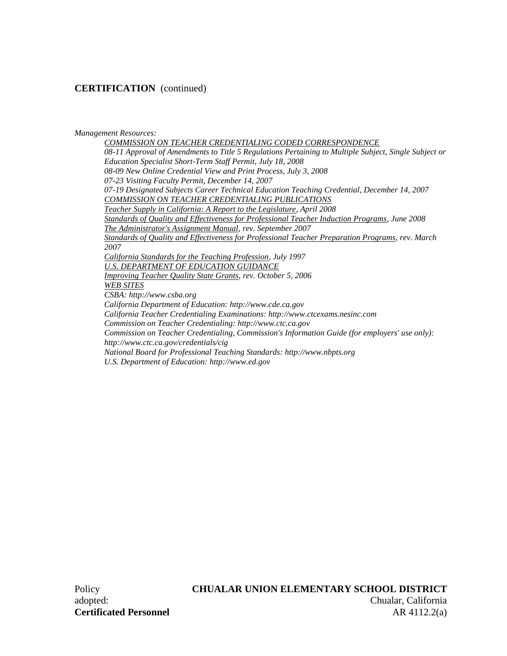#### *Management Resources:*

*COMMISSION ON TEACHER CREDENTIALING CODED CORRESPONDENCE 08-11 Approval of Amendments to Title 5 Regulations Pertaining to Multiple Subject, Single Subject or Education Specialist Short-Term Staff Permit, July 18, 2008 08-09 New Online Credential View and Print Process, July 3, 2008 07-23 Visiting Faculty Permit, December 14, 2007 07-19 Designated Subjects Career Technical Education Teaching Credential, December 14, 2007 COMMISSION ON TEACHER CREDENTIALING PUBLICATIONS Teacher Supply in California: A Report to the Legislature, April 2008 Standards of Quality and Effectiveness for Professional Teacher Induction Programs, June 2008 The Administrator's Assignment Manual, rev. September 2007 Standards of Quality and Effectiveness for Professional Teacher Preparation Programs, rev. March 2007 California Standards for the Teaching Profession, July 1997 U.S. DEPARTMENT OF EDUCATION GUIDANCE Improving Teacher Quality State Grants, rev. October 5, 2006 WEB SITES CSBA: http://www.csba.org California Department of Education: http://www.cde.ca.gov California Teacher Credentialing Examinations: http://www.ctcexams.nesinc.com Commission on Teacher Credentialing: http://www.ctc.ca.gov Commission on Teacher Credentialing, Commission's Information Guide (for employers' use only): http://www.ctc.ca.gov/credentials/cig National Board for Professional Teaching Standards: http://www.nbpts.org U.S. Department of Education: http://www.ed.gov*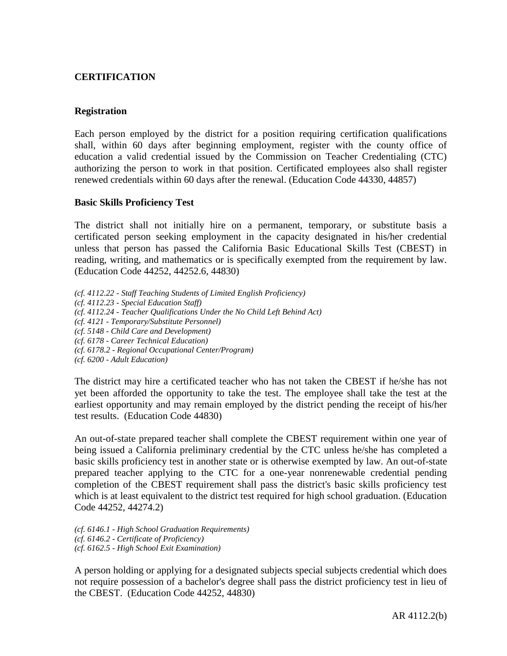## **CERTIFICATION**

#### **Registration**

Each person employed by the district for a position requiring certification qualifications shall, within 60 days after beginning employment, register with the county office of education a valid credential issued by the Commission on Teacher Credentialing (CTC) authorizing the person to work in that position. Certificated employees also shall register renewed credentials within 60 days after the renewal. (Education Code 44330, 44857)

#### **Basic Skills Proficiency Test**

The district shall not initially hire on a permanent, temporary, or substitute basis a certificated person seeking employment in the capacity designated in his/her credential unless that person has passed the California Basic Educational Skills Test (CBEST) in reading, writing, and mathematics or is specifically exempted from the requirement by law. (Education Code 44252, 44252.6, 44830)

- *(cf. 4112.22 - Staff Teaching Students of Limited English Proficiency)*
- *(cf. 4112.23 - Special Education Staff)*

*(cf. 4112.24 - Teacher Qualifications Under the No Child Left Behind Act)*

*(cf. 4121 - Temporary/Substitute Personnel)*

*(cf. 5148 - Child Care and Development)*

- *(cf. 6178 - Career Technical Education)*
- *(cf. 6178.2 - Regional Occupational Center/Program)*

*(cf. 6200 - Adult Education)*

The district may hire a certificated teacher who has not taken the CBEST if he/she has not yet been afforded the opportunity to take the test. The employee shall take the test at the earliest opportunity and may remain employed by the district pending the receipt of his/her test results. (Education Code 44830)

An out-of-state prepared teacher shall complete the CBEST requirement within one year of being issued a California preliminary credential by the CTC unless he/she has completed a basic skills proficiency test in another state or is otherwise exempted by law. An out-of-state prepared teacher applying to the CTC for a one-year nonrenewable credential pending completion of the CBEST requirement shall pass the district's basic skills proficiency test which is at least equivalent to the district test required for high school graduation. (Education Code 44252, 44274.2)

*(cf. 6146.1 - High School Graduation Requirements) (cf. 6146.2 - Certificate of Proficiency) (cf. 6162.5 - High School Exit Examination)*

A person holding or applying for a designated subjects special subjects credential which does not require possession of a bachelor's degree shall pass the district proficiency test in lieu of the CBEST. (Education Code 44252, 44830)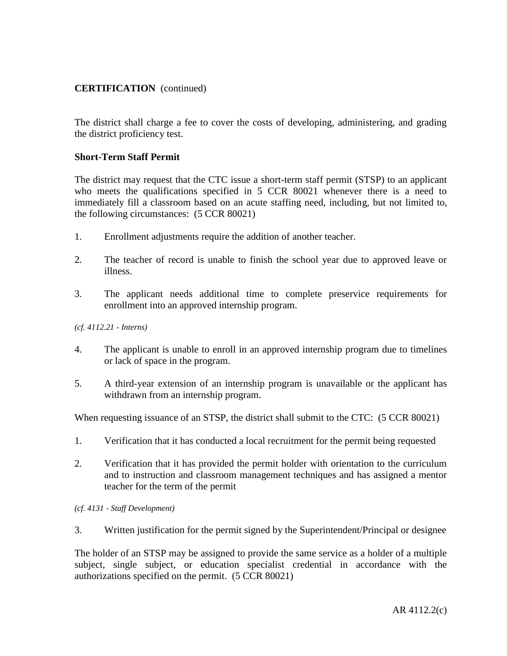The district shall charge a fee to cover the costs of developing, administering, and grading the district proficiency test.

### **Short-Term Staff Permit**

The district may request that the CTC issue a short-term staff permit (STSP) to an applicant who meets the qualifications specified in 5 CCR 80021 whenever there is a need to immediately fill a classroom based on an acute staffing need, including, but not limited to, the following circumstances: (5 CCR 80021)

- 1. Enrollment adjustments require the addition of another teacher.
- 2. The teacher of record is unable to finish the school year due to approved leave or illness.
- 3. The applicant needs additional time to complete preservice requirements for enrollment into an approved internship program.

#### *(cf. 4112.21 - Interns)*

- 4. The applicant is unable to enroll in an approved internship program due to timelines or lack of space in the program.
- 5. A third-year extension of an internship program is unavailable or the applicant has withdrawn from an internship program.

When requesting issuance of an STSP, the district shall submit to the CTC: (5 CCR 80021)

- 1. Verification that it has conducted a local recruitment for the permit being requested
- 2. Verification that it has provided the permit holder with orientation to the curriculum and to instruction and classroom management techniques and has assigned a mentor teacher for the term of the permit

*(cf. 4131 - Staff Development)*

3. Written justification for the permit signed by the Superintendent/Principal or designee

The holder of an STSP may be assigned to provide the same service as a holder of a multiple subject, single subject, or education specialist credential in accordance with the authorizations specified on the permit. (5 CCR 80021)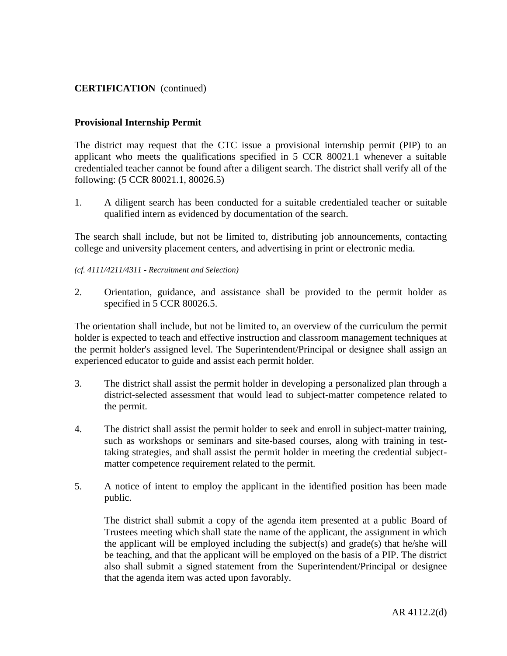### **Provisional Internship Permit**

The district may request that the CTC issue a provisional internship permit (PIP) to an applicant who meets the qualifications specified in 5 CCR 80021.1 whenever a suitable credentialed teacher cannot be found after a diligent search. The district shall verify all of the following: (5 CCR 80021.1, 80026.5)

1. A diligent search has been conducted for a suitable credentialed teacher or suitable qualified intern as evidenced by documentation of the search.

The search shall include, but not be limited to, distributing job announcements, contacting college and university placement centers, and advertising in print or electronic media.

#### *(cf. 4111/4211/4311 - Recruitment and Selection)*

2. Orientation, guidance, and assistance shall be provided to the permit holder as specified in 5 CCR 80026.5.

The orientation shall include, but not be limited to, an overview of the curriculum the permit holder is expected to teach and effective instruction and classroom management techniques at the permit holder's assigned level. The Superintendent/Principal or designee shall assign an experienced educator to guide and assist each permit holder.

- 3. The district shall assist the permit holder in developing a personalized plan through a district-selected assessment that would lead to subject-matter competence related to the permit.
- 4. The district shall assist the permit holder to seek and enroll in subject-matter training, such as workshops or seminars and site-based courses, along with training in testtaking strategies, and shall assist the permit holder in meeting the credential subjectmatter competence requirement related to the permit.
- 5. A notice of intent to employ the applicant in the identified position has been made public.

The district shall submit a copy of the agenda item presented at a public Board of Trustees meeting which shall state the name of the applicant, the assignment in which the applicant will be employed including the subject(s) and grade(s) that he/she will be teaching, and that the applicant will be employed on the basis of a PIP. The district also shall submit a signed statement from the Superintendent/Principal or designee that the agenda item was acted upon favorably.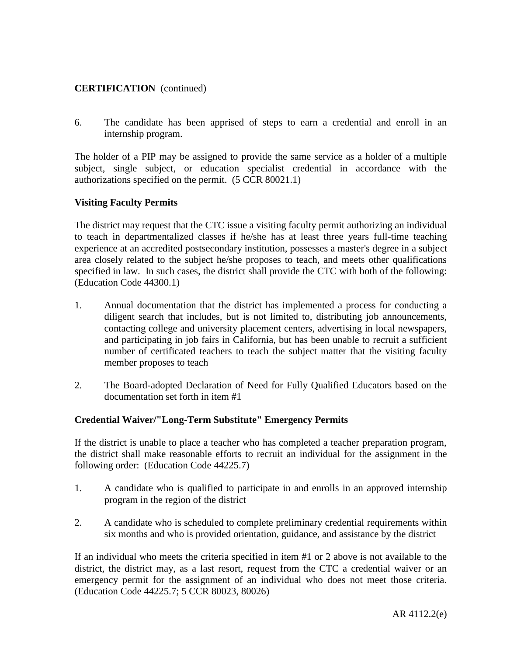6. The candidate has been apprised of steps to earn a credential and enroll in an internship program.

The holder of a PIP may be assigned to provide the same service as a holder of a multiple subject, single subject, or education specialist credential in accordance with the authorizations specified on the permit. (5 CCR 80021.1)

### **Visiting Faculty Permits**

The district may request that the CTC issue a visiting faculty permit authorizing an individual to teach in departmentalized classes if he/she has at least three years full-time teaching experience at an accredited postsecondary institution, possesses a master's degree in a subject area closely related to the subject he/she proposes to teach, and meets other qualifications specified in law. In such cases, the district shall provide the CTC with both of the following: (Education Code 44300.1)

- 1. Annual documentation that the district has implemented a process for conducting a diligent search that includes, but is not limited to, distributing job announcements, contacting college and university placement centers, advertising in local newspapers, and participating in job fairs in California, but has been unable to recruit a sufficient number of certificated teachers to teach the subject matter that the visiting faculty member proposes to teach
- 2. The Board-adopted Declaration of Need for Fully Qualified Educators based on the documentation set forth in item #1

### **Credential Waiver/"Long-Term Substitute" Emergency Permits**

If the district is unable to place a teacher who has completed a teacher preparation program, the district shall make reasonable efforts to recruit an individual for the assignment in the following order: (Education Code 44225.7)

- 1. A candidate who is qualified to participate in and enrolls in an approved internship program in the region of the district
- 2. A candidate who is scheduled to complete preliminary credential requirements within six months and who is provided orientation, guidance, and assistance by the district

If an individual who meets the criteria specified in item #1 or 2 above is not available to the district, the district may, as a last resort, request from the CTC a credential waiver or an emergency permit for the assignment of an individual who does not meet those criteria. (Education Code 44225.7; 5 CCR 80023, 80026)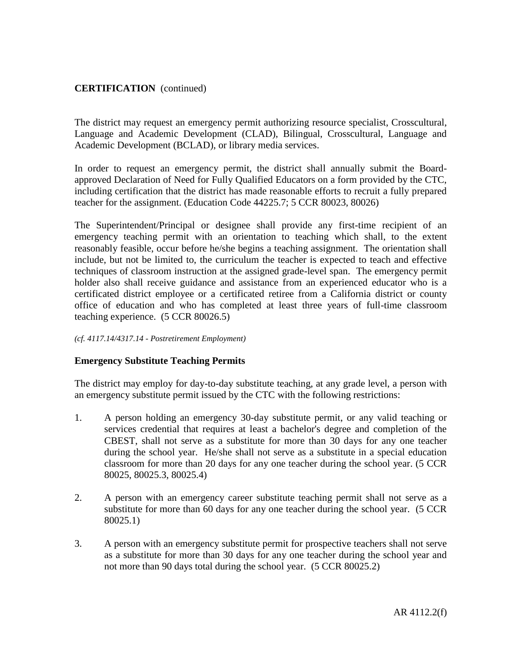The district may request an emergency permit authorizing resource specialist, Crosscultural, Language and Academic Development (CLAD), Bilingual, Crosscultural, Language and Academic Development (BCLAD), or library media services.

In order to request an emergency permit, the district shall annually submit the Boardapproved Declaration of Need for Fully Qualified Educators on a form provided by the CTC, including certification that the district has made reasonable efforts to recruit a fully prepared teacher for the assignment. (Education Code 44225.7; 5 CCR 80023, 80026)

The Superintendent/Principal or designee shall provide any first-time recipient of an emergency teaching permit with an orientation to teaching which shall, to the extent reasonably feasible, occur before he/she begins a teaching assignment. The orientation shall include, but not be limited to, the curriculum the teacher is expected to teach and effective techniques of classroom instruction at the assigned grade-level span. The emergency permit holder also shall receive guidance and assistance from an experienced educator who is a certificated district employee or a certificated retiree from a California district or county office of education and who has completed at least three years of full-time classroom teaching experience. (5 CCR 80026.5)

#### *(cf. 4117.14/4317.14 - Postretirement Employment)*

### **Emergency Substitute Teaching Permits**

The district may employ for day-to-day substitute teaching, at any grade level, a person with an emergency substitute permit issued by the CTC with the following restrictions:

- 1. A person holding an emergency 30-day substitute permit, or any valid teaching or services credential that requires at least a bachelor's degree and completion of the CBEST, shall not serve as a substitute for more than 30 days for any one teacher during the school year. He/she shall not serve as a substitute in a special education classroom for more than 20 days for any one teacher during the school year. (5 CCR 80025, 80025.3, 80025.4)
- 2. A person with an emergency career substitute teaching permit shall not serve as a substitute for more than 60 days for any one teacher during the school year. (5 CCR 80025.1)
- 3. A person with an emergency substitute permit for prospective teachers shall not serve as a substitute for more than 30 days for any one teacher during the school year and not more than 90 days total during the school year. (5 CCR 80025.2)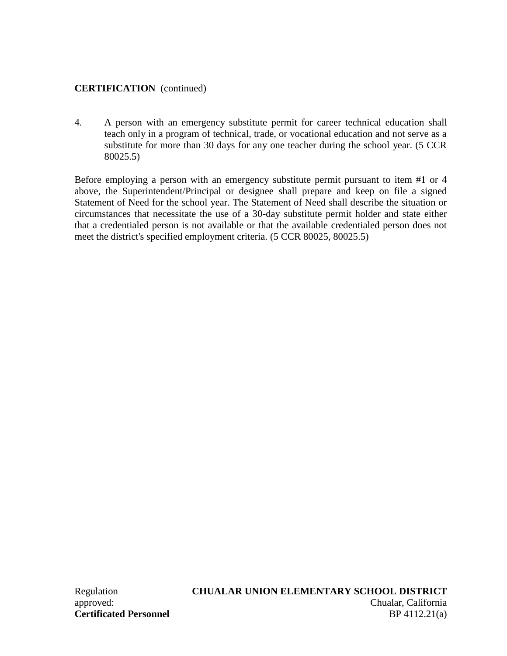4. A person with an emergency substitute permit for career technical education shall teach only in a program of technical, trade, or vocational education and not serve as a substitute for more than 30 days for any one teacher during the school year. (5 CCR 80025.5)

Before employing a person with an emergency substitute permit pursuant to item #1 or 4 above, the Superintendent/Principal or designee shall prepare and keep on file a signed Statement of Need for the school year. The Statement of Need shall describe the situation or circumstances that necessitate the use of a 30-day substitute permit holder and state either that a credentialed person is not available or that the available credentialed person does not meet the district's specified employment criteria. (5 CCR 80025, 80025.5)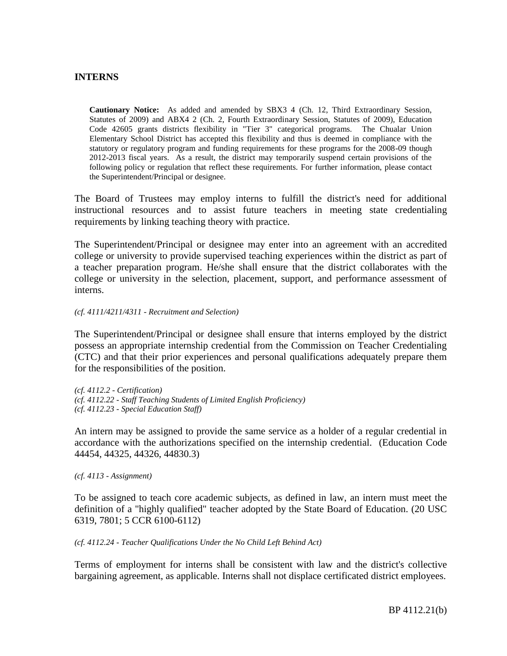### **INTERNS**

**Cautionary Notice:** As added and amended by SBX3 4 (Ch. 12, Third Extraordinary Session, Statutes of 2009) and ABX4 2 (Ch. 2, Fourth Extraordinary Session, Statutes of 2009), Education Code 42605 grants districts flexibility in "Tier 3" categorical programs. The Chualar Union Elementary School District has accepted this flexibility and thus is deemed in compliance with the statutory or regulatory program and funding requirements for these programs for the 2008-09 though 2012-2013 fiscal years. As a result, the district may temporarily suspend certain provisions of the following policy or regulation that reflect these requirements. For further information, please contact the Superintendent/Principal or designee.

The Board of Trustees may employ interns to fulfill the district's need for additional instructional resources and to assist future teachers in meeting state credentialing requirements by linking teaching theory with practice.

The Superintendent/Principal or designee may enter into an agreement with an accredited college or university to provide supervised teaching experiences within the district as part of a teacher preparation program. He/she shall ensure that the district collaborates with the college or university in the selection, placement, support, and performance assessment of interns.

#### *(cf. 4111/4211/4311 - Recruitment and Selection)*

The Superintendent/Principal or designee shall ensure that interns employed by the district possess an appropriate internship credential from the Commission on Teacher Credentialing (CTC) and that their prior experiences and personal qualifications adequately prepare them for the responsibilities of the position.

*(cf. 4112.2 - Certification) (cf. 4112.22 - Staff Teaching Students of Limited English Proficiency) (cf. 4112.23 - Special Education Staff)*

An intern may be assigned to provide the same service as a holder of a regular credential in accordance with the authorizations specified on the internship credential. (Education Code 44454, 44325, 44326, 44830.3)

*(cf. 4113 - Assignment)*

To be assigned to teach core academic subjects, as defined in law, an intern must meet the definition of a "highly qualified" teacher adopted by the State Board of Education. (20 USC 6319, 7801; 5 CCR 6100-6112)

#### *(cf. 4112.24 - Teacher Qualifications Under the No Child Left Behind Act)*

Terms of employment for interns shall be consistent with law and the district's collective bargaining agreement, as applicable. Interns shall not displace certificated district employees.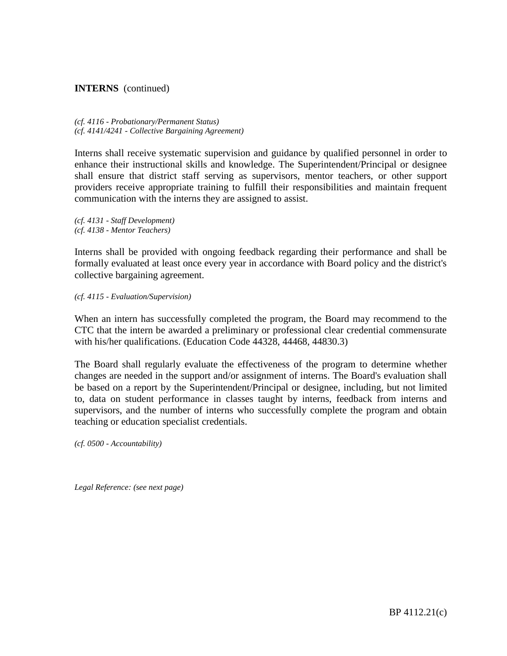### **INTERNS** (continued)

*(cf. 4116 - Probationary/Permanent Status) (cf. 4141/4241 - Collective Bargaining Agreement)*

Interns shall receive systematic supervision and guidance by qualified personnel in order to enhance their instructional skills and knowledge. The Superintendent/Principal or designee shall ensure that district staff serving as supervisors, mentor teachers, or other support providers receive appropriate training to fulfill their responsibilities and maintain frequent communication with the interns they are assigned to assist.

*(cf. 4131 - Staff Development) (cf. 4138 - Mentor Teachers)*

Interns shall be provided with ongoing feedback regarding their performance and shall be formally evaluated at least once every year in accordance with Board policy and the district's collective bargaining agreement.

*(cf. 4115 - Evaluation/Supervision)*

When an intern has successfully completed the program, the Board may recommend to the CTC that the intern be awarded a preliminary or professional clear credential commensurate with his/her qualifications. (Education Code 44328, 44468, 44830.3)

The Board shall regularly evaluate the effectiveness of the program to determine whether changes are needed in the support and/or assignment of interns. The Board's evaluation shall be based on a report by the Superintendent/Principal or designee, including, but not limited to, data on student performance in classes taught by interns, feedback from interns and supervisors, and the number of interns who successfully complete the program and obtain teaching or education specialist credentials.

*(cf. 0500 - Accountability)*

*Legal Reference: (see next page)*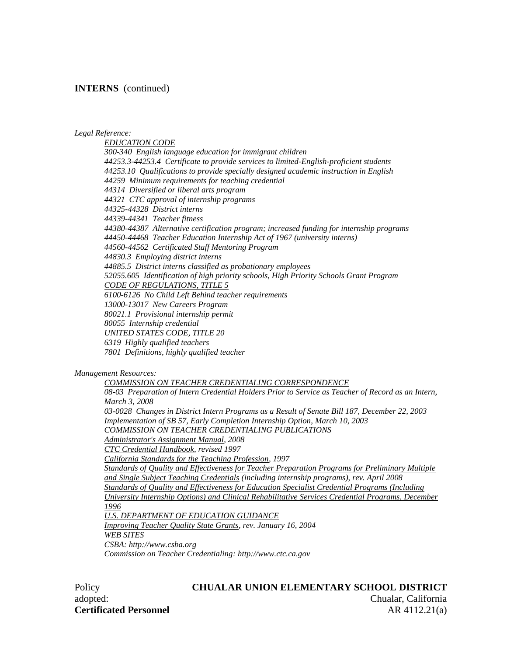#### **INTERNS** (continued)

*Legal Reference:*

*EDUCATION CODE 300-340 English language education for immigrant children 44253.3-44253.4 Certificate to provide services to limited-English-proficient students 44253.10 Qualifications to provide specially designed academic instruction in English 44259 Minimum requirements for teaching credential 44314 Diversified or liberal arts program 44321 CTC approval of internship programs 44325-44328 District interns 44339-44341 Teacher fitness 44380-44387 Alternative certification program; increased funding for internship programs 44450-44468 Teacher Education Internship Act of 1967 (university interns) 44560-44562 Certificated Staff Mentoring Program 44830.3 Employing district interns 44885.5 District interns classified as probationary employees 52055.605 Identification of high priority schools, High Priority Schools Grant Program CODE OF REGULATIONS, TITLE 5 6100-6126 No Child Left Behind teacher requirements 13000-13017 New Careers Program 80021.1 Provisional internship permit 80055 Internship credential UNITED STATES CODE, TITLE 20 6319 Highly qualified teachers 7801 Definitions, highly qualified teacher*

#### *Management Resources:*

# *COMMISSION ON TEACHER CREDENTIALING CORRESPONDENCE*

*08-03 Preparation of Intern Credential Holders Prior to Service as Teacher of Record as an Intern, March 3, 2008 03-0028 Changes in District Intern Programs as a Result of Senate Bill 187, December 22, 2003 Implementation of SB 57, Early Completion Internship Option, March 10, 2003 COMMISSION ON TEACHER CREDENTIALING PUBLICATIONS Administrator's Assignment Manual, 2008 CTC Credential Handbook, revised 1997 California Standards for the Teaching Profession, 1997 Standards of Quality and Effectiveness for Teacher Preparation Programs for Preliminary Multiple and Single Subject Teaching Credentials (including internship programs), rev. April 2008 Standards of Quality and Effectiveness for Education Specialist Credential Programs (Including University Internship Options) and Clinical Rehabilitative Services Credential Programs, December 1996 U.S. DEPARTMENT OF EDUCATION GUIDANCE Improving Teacher Quality State Grants, rev. January 16, 2004 WEB SITES CSBA: http://www.csba.org Commission on Teacher Credentialing: http://www.ctc.ca.gov*

adopted: Chualar, California **Certificated Personnel AR 4112.21(a)** 

#### Policy **CHUALAR UNION ELEMENTARY SCHOOL DISTRICT**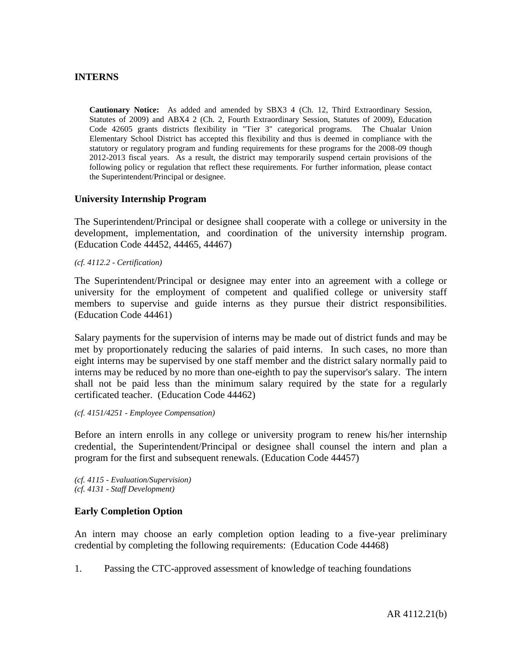### **INTERNS**

**Cautionary Notice:** As added and amended by SBX3 4 (Ch. 12, Third Extraordinary Session, Statutes of 2009) and ABX4 2 (Ch. 2, Fourth Extraordinary Session, Statutes of 2009), Education Code 42605 grants districts flexibility in "Tier 3" categorical programs. The Chualar Union Elementary School District has accepted this flexibility and thus is deemed in compliance with the statutory or regulatory program and funding requirements for these programs for the 2008-09 though 2012-2013 fiscal years. As a result, the district may temporarily suspend certain provisions of the following policy or regulation that reflect these requirements. For further information, please contact the Superintendent/Principal or designee.

### **University Internship Program**

The Superintendent/Principal or designee shall cooperate with a college or university in the development, implementation, and coordination of the university internship program. (Education Code 44452, 44465, 44467)

*(cf. 4112.2 - Certification)*

The Superintendent/Principal or designee may enter into an agreement with a college or university for the employment of competent and qualified college or university staff members to supervise and guide interns as they pursue their district responsibilities. (Education Code 44461)

Salary payments for the supervision of interns may be made out of district funds and may be met by proportionately reducing the salaries of paid interns. In such cases, no more than eight interns may be supervised by one staff member and the district salary normally paid to interns may be reduced by no more than one-eighth to pay the supervisor's salary. The intern shall not be paid less than the minimum salary required by the state for a regularly certificated teacher. (Education Code 44462)

#### *(cf. 4151/4251 - Employee Compensation)*

Before an intern enrolls in any college or university program to renew his/her internship credential, the Superintendent/Principal or designee shall counsel the intern and plan a program for the first and subsequent renewals. (Education Code 44457)

*(cf. 4115 - Evaluation/Supervision) (cf. 4131 - Staff Development)*

### **Early Completion Option**

An intern may choose an early completion option leading to a five-year preliminary credential by completing the following requirements: (Education Code 44468)

1. Passing the CTC-approved assessment of knowledge of teaching foundations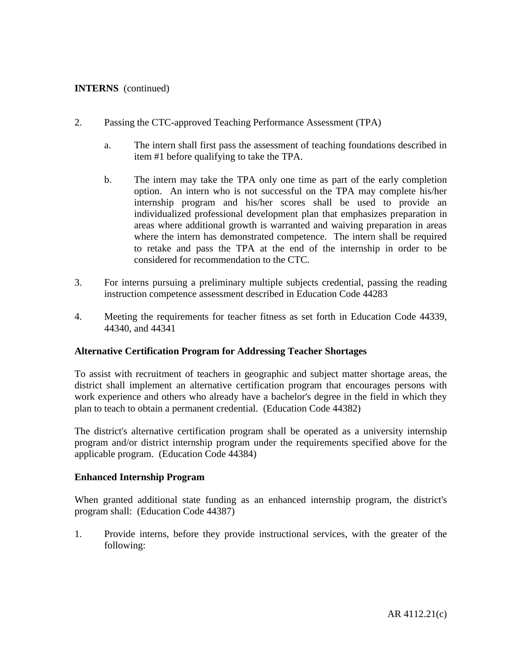## **INTERNS** (continued)

- 2. Passing the CTC-approved Teaching Performance Assessment (TPA)
	- a. The intern shall first pass the assessment of teaching foundations described in item #1 before qualifying to take the TPA.
	- b. The intern may take the TPA only one time as part of the early completion option. An intern who is not successful on the TPA may complete his/her internship program and his/her scores shall be used to provide an individualized professional development plan that emphasizes preparation in areas where additional growth is warranted and waiving preparation in areas where the intern has demonstrated competence. The intern shall be required to retake and pass the TPA at the end of the internship in order to be considered for recommendation to the CTC.
- 3. For interns pursuing a preliminary multiple subjects credential, passing the reading instruction competence assessment described in Education Code 44283
- 4. Meeting the requirements for teacher fitness as set forth in Education Code 44339, 44340, and 44341

### **Alternative Certification Program for Addressing Teacher Shortages**

To assist with recruitment of teachers in geographic and subject matter shortage areas, the district shall implement an alternative certification program that encourages persons with work experience and others who already have a bachelor's degree in the field in which they plan to teach to obtain a permanent credential. (Education Code 44382)

The district's alternative certification program shall be operated as a university internship program and/or district internship program under the requirements specified above for the applicable program. (Education Code 44384)

### **Enhanced Internship Program**

When granted additional state funding as an enhanced internship program, the district's program shall: (Education Code 44387)

1. Provide interns, before they provide instructional services, with the greater of the following: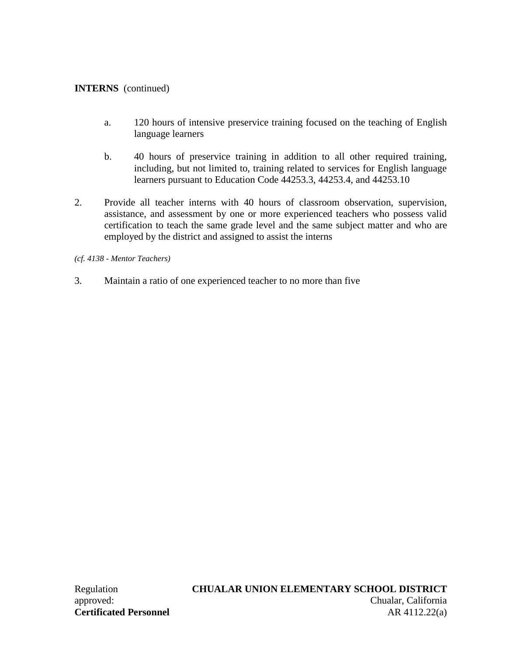## **INTERNS** (continued)

- a. 120 hours of intensive preservice training focused on the teaching of English language learners
- b. 40 hours of preservice training in addition to all other required training, including, but not limited to, training related to services for English language learners pursuant to Education Code 44253.3, 44253.4, and 44253.10
- 2. Provide all teacher interns with 40 hours of classroom observation, supervision, assistance, and assessment by one or more experienced teachers who possess valid certification to teach the same grade level and the same subject matter and who are employed by the district and assigned to assist the interns

*(cf. 4138 - Mentor Teachers)*

3. Maintain a ratio of one experienced teacher to no more than five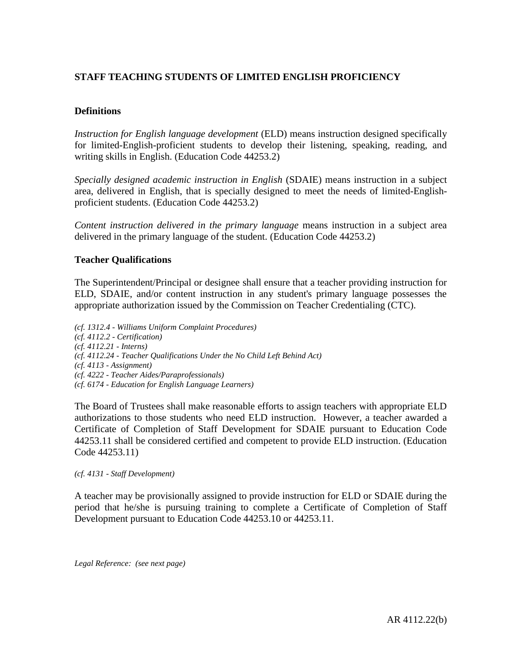# **STAFF TEACHING STUDENTS OF LIMITED ENGLISH PROFICIENCY**

## **Definitions**

*Instruction for English language development* (ELD) means instruction designed specifically for limited-English-proficient students to develop their listening, speaking, reading, and writing skills in English. (Education Code 44253.2)

*Specially designed academic instruction in English* (SDAIE) means instruction in a subject area, delivered in English, that is specially designed to meet the needs of limited-Englishproficient students. (Education Code 44253.2)

*Content instruction delivered in the primary language* means instruction in a subject area delivered in the primary language of the student. (Education Code 44253.2)

### **Teacher Qualifications**

The Superintendent/Principal or designee shall ensure that a teacher providing instruction for ELD, SDAIE, and/or content instruction in any student's primary language possesses the appropriate authorization issued by the Commission on Teacher Credentialing (CTC).

*(cf. 1312.4 - Williams Uniform Complaint Procedures) (cf. 4112.2 - Certification) (cf. 4112.21 - Interns) (cf. 4112.24 - Teacher Qualifications Under the No Child Left Behind Act) (cf. 4113 - Assignment) (cf. 4222 - Teacher Aides/Paraprofessionals) (cf. 6174 - Education for English Language Learners)*

The Board of Trustees shall make reasonable efforts to assign teachers with appropriate ELD authorizations to those students who need ELD instruction. However, a teacher awarded a Certificate of Completion of Staff Development for SDAIE pursuant to Education Code 44253.11 shall be considered certified and competent to provide ELD instruction. (Education Code 44253.11)

*(cf. 4131 - Staff Development)*

A teacher may be provisionally assigned to provide instruction for ELD or SDAIE during the period that he/she is pursuing training to complete a Certificate of Completion of Staff Development pursuant to Education Code 44253.10 or 44253.11.

*Legal Reference: (see next page)*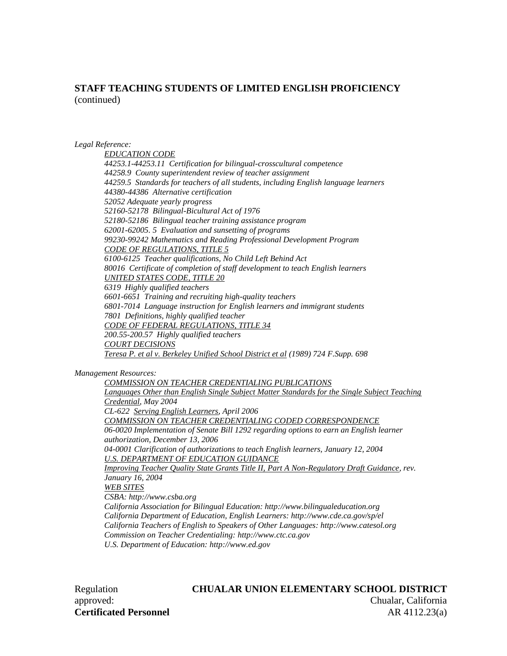## **STAFF TEACHING STUDENTS OF LIMITED ENGLISH PROFICIENCY** (continued)

#### *Legal Reference:*

*EDUCATION CODE 44253.1-44253.11 Certification for bilingual-crosscultural competence 44258.9 County superintendent review of teacher assignment 44259.5 Standards for teachers of all students, including English language learners 44380-44386 Alternative certification 52052 Adequate yearly progress 52160-52178 Bilingual-Bicultural Act of 1976 52180-52186 Bilingual teacher training assistance program 62001-62005. 5 Evaluation and sunsetting of programs 99230-99242 Mathematics and Reading Professional Development Program CODE OF REGULATIONS, TITLE 5 6100-6125 Teacher qualifications, No Child Left Behind Act 80016 Certificate of completion of staff development to teach English learners UNITED STATES CODE, TITLE 20 6319 Highly qualified teachers 6601-6651 Training and recruiting high-quality teachers 6801-7014 Language instruction for English learners and immigrant students 7801 Definitions, highly qualified teacher CODE OF FEDERAL REGULATIONS, TITLE 34 200.55-200.57 Highly qualified teachers COURT DECISIONS Teresa P. et al v. Berkeley Unified School District et al (1989) 724 F.Supp. 698*

*Management Resources:*

*COMMISSION ON TEACHER CREDENTIALING PUBLICATIONS Languages Other than English Single Subject Matter Standards for the Single Subject Teaching Credential, May 2004 CL-622 Serving English Learners, April 2006 COMMISSION ON TEACHER CREDENTIALING CODED CORRESPONDENCE 06-0020 Implementation of Senate Bill 1292 regarding options to earn an English learner authorization, December 13, 2006 04-0001 Clarification of authorizations to teach English learners, January 12, 2004 U.S. DEPARTMENT OF EDUCATION GUIDANCE Improving Teacher Quality State Grants Title II, Part A Non-Regulatory Draft Guidance, rev. January 16, 2004 WEB SITES CSBA: http://www.csba.org California Association for Bilingual Education: http://www.bilingualeducation.org California Department of Education, English Learners: http://www.cde.ca.gov/sp/el California Teachers of English to Speakers of Other Languages: http://www.catesol.org Commission on Teacher Credentialing: http://www.ctc.ca.gov U.S. Department of Education: http://www.ed.gov*

# Regulation **CHUALAR UNION ELEMENTARY SCHOOL DISTRICT** approved: Chualar, California **Certificated Personnel AR 4112.23(a)**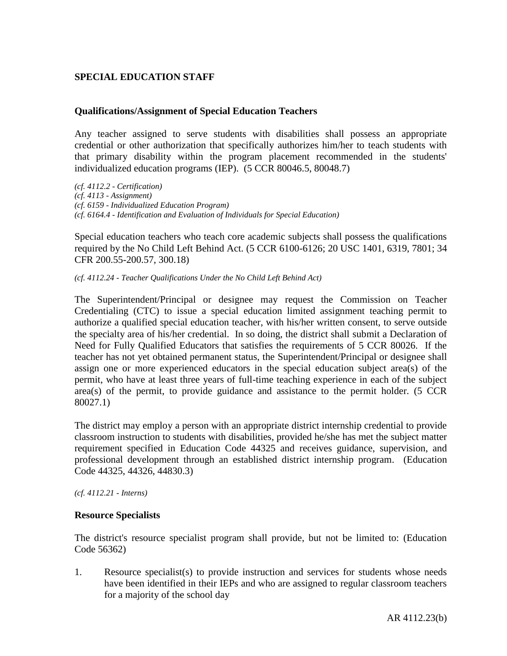# **SPECIAL EDUCATION STAFF**

### **Qualifications/Assignment of Special Education Teachers**

Any teacher assigned to serve students with disabilities shall possess an appropriate credential or other authorization that specifically authorizes him/her to teach students with that primary disability within the program placement recommended in the students' individualized education programs (IEP). (5 CCR 80046.5, 80048.7)

*(cf. 4112.2 - Certification) (cf. 4113 - Assignment) (cf. 6159 - Individualized Education Program) (cf. 6164.4 - Identification and Evaluation of Individuals for Special Education)*

Special education teachers who teach core academic subjects shall possess the qualifications required by the No Child Left Behind Act. (5 CCR 6100-6126; 20 USC 1401, 6319, 7801; 34 CFR 200.55-200.57, 300.18)

*(cf. 4112.24 - Teacher Qualifications Under the No Child Left Behind Act)*

The Superintendent/Principal or designee may request the Commission on Teacher Credentialing (CTC) to issue a special education limited assignment teaching permit to authorize a qualified special education teacher, with his/her written consent, to serve outside the specialty area of his/her credential. In so doing, the district shall submit a Declaration of Need for Fully Qualified Educators that satisfies the requirements of 5 CCR 80026. If the teacher has not yet obtained permanent status, the Superintendent/Principal or designee shall assign one or more experienced educators in the special education subject area(s) of the permit, who have at least three years of full-time teaching experience in each of the subject  $area(s)$  of the permit, to provide guidance and assistance to the permit holder. (5 CCR 80027.1)

The district may employ a person with an appropriate district internship credential to provide classroom instruction to students with disabilities, provided he/she has met the subject matter requirement specified in Education Code 44325 and receives guidance, supervision, and professional development through an established district internship program. (Education Code 44325, 44326, 44830.3)

*(cf. 4112.21 - Interns)*

#### **Resource Specialists**

The district's resource specialist program shall provide, but not be limited to: (Education Code 56362)

1. Resource specialist(s) to provide instruction and services for students whose needs have been identified in their IEPs and who are assigned to regular classroom teachers for a majority of the school day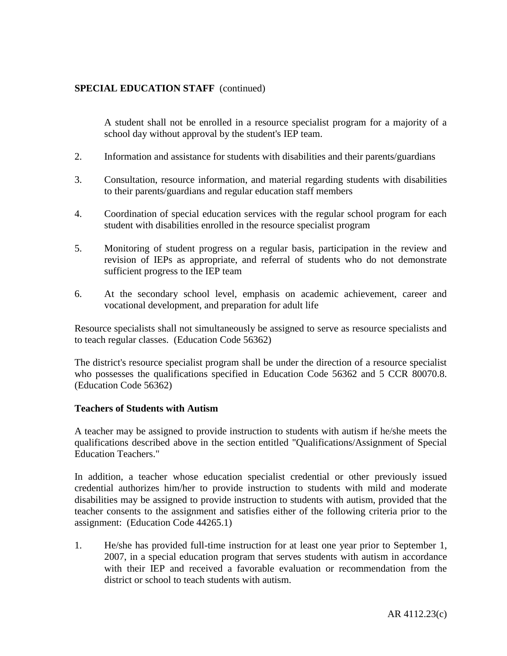A student shall not be enrolled in a resource specialist program for a majority of a school day without approval by the student's IEP team.

- 2. Information and assistance for students with disabilities and their parents/guardians
- 3. Consultation, resource information, and material regarding students with disabilities to their parents/guardians and regular education staff members
- 4. Coordination of special education services with the regular school program for each student with disabilities enrolled in the resource specialist program
- 5. Monitoring of student progress on a regular basis, participation in the review and revision of IEPs as appropriate, and referral of students who do not demonstrate sufficient progress to the IEP team
- 6. At the secondary school level, emphasis on academic achievement, career and vocational development, and preparation for adult life

Resource specialists shall not simultaneously be assigned to serve as resource specialists and to teach regular classes. (Education Code 56362)

The district's resource specialist program shall be under the direction of a resource specialist who possesses the qualifications specified in Education Code 56362 and 5 CCR 80070.8. (Education Code 56362)

### **Teachers of Students with Autism**

A teacher may be assigned to provide instruction to students with autism if he/she meets the qualifications described above in the section entitled "Qualifications/Assignment of Special Education Teachers."

In addition, a teacher whose education specialist credential or other previously issued credential authorizes him/her to provide instruction to students with mild and moderate disabilities may be assigned to provide instruction to students with autism, provided that the teacher consents to the assignment and satisfies either of the following criteria prior to the assignment: (Education Code 44265.1)

1. He/she has provided full-time instruction for at least one year prior to September 1, 2007, in a special education program that serves students with autism in accordance with their IEP and received a favorable evaluation or recommendation from the district or school to teach students with autism.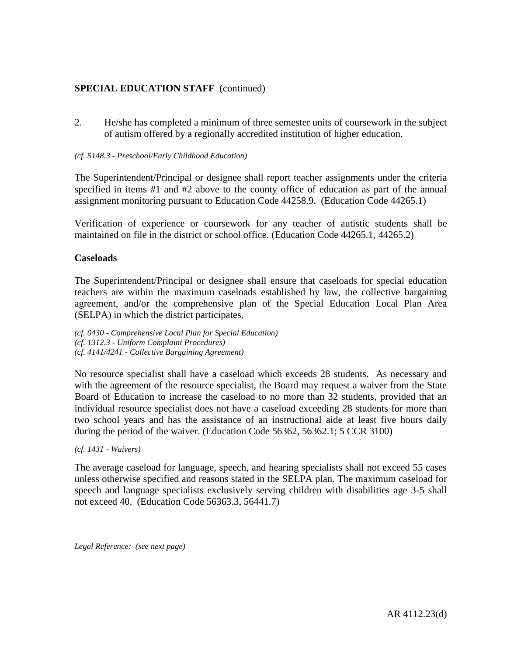2. He/she has completed a minimum of three semester units of coursework in the subject of autism offered by a regionally accredited institution of higher education.

#### *(cf. 5148.3 - Preschool/Early Childhood Education)*

The Superintendent/Principal or designee shall report teacher assignments under the criteria specified in items #1 and #2 above to the county office of education as part of the annual assignment monitoring pursuant to Education Code 44258.9. (Education Code 44265.1)

Verification of experience or coursework for any teacher of autistic students shall be maintained on file in the district or school office. (Education Code 44265.1, 44265.2)

### **Caseloads**

The Superintendent/Principal or designee shall ensure that caseloads for special education teachers are within the maximum caseloads established by law, the collective bargaining agreement, and/or the comprehensive plan of the Special Education Local Plan Area (SELPA) in which the district participates.

*(cf. 0430 - Comprehensive Local Plan for Special Education) (cf. 1312.3 - Uniform Complaint Procedures) (cf. 4141/4241 - Collective Bargaining Agreement)*

No resource specialist shall have a caseload which exceeds 28 students. As necessary and with the agreement of the resource specialist, the Board may request a waiver from the State Board of Education to increase the caseload to no more than 32 students, provided that an individual resource specialist does not have a caseload exceeding 28 students for more than two school years and has the assistance of an instructional aide at least five hours daily during the period of the waiver. (Education Code 56362, 56362.1; 5 CCR 3100)

*(cf. 1431 - Waivers)*

The average caseload for language, speech, and hearing specialists shall not exceed 55 cases unless otherwise specified and reasons stated in the SELPA plan. The maximum caseload for speech and language specialists exclusively serving children with disabilities age 3-5 shall not exceed 40. (Education Code 56363.3, 56441.7)

*Legal Reference: (see next page)*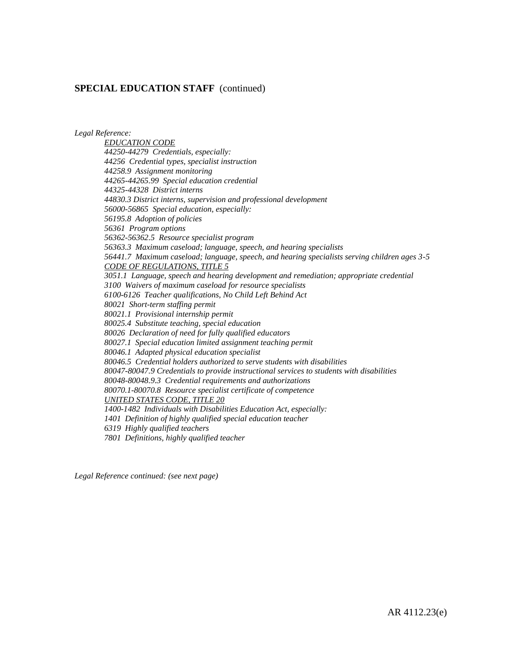*Legal Reference:*

*EDUCATION CODE 44250-44279 Credentials, especially: 44256 Credential types, specialist instruction 44258.9 Assignment monitoring 44265-44265.99 Special education credential 44325-44328 District interns 44830.3 District interns, supervision and professional development 56000-56865 Special education, especially: 56195.8 Adoption of policies 56361 Program options 56362-56362.5 Resource specialist program 56363.3 Maximum caseload; language, speech, and hearing specialists 56441.7 Maximum caseload; language, speech, and hearing specialists serving children ages 3-5 CODE OF REGULATIONS, TITLE 5 3051.1 Language, speech and hearing development and remediation; appropriate credential 3100 Waivers of maximum caseload for resource specialists 6100-6126 Teacher qualifications, No Child Left Behind Act 80021 Short-term staffing permit 80021.1 Provisional internship permit 80025.4 Substitute teaching, special education 80026 Declaration of need for fully qualified educators 80027.1 Special education limited assignment teaching permit 80046.1 Adapted physical education specialist 80046.5 Credential holders authorized to serve students with disabilities 80047-80047.9 Credentials to provide instructional services to students with disabilities 80048-80048.9.3 Credential requirements and authorizations 80070.1-80070.8 Resource specialist certificate of competence UNITED STATES CODE, TITLE 20 1400-1482 Individuals with Disabilities Education Act, especially: 1401 Definition of highly qualified special education teacher 6319 Highly qualified teachers 7801 Definitions, highly qualified teacher*

*Legal Reference continued: (see next page)*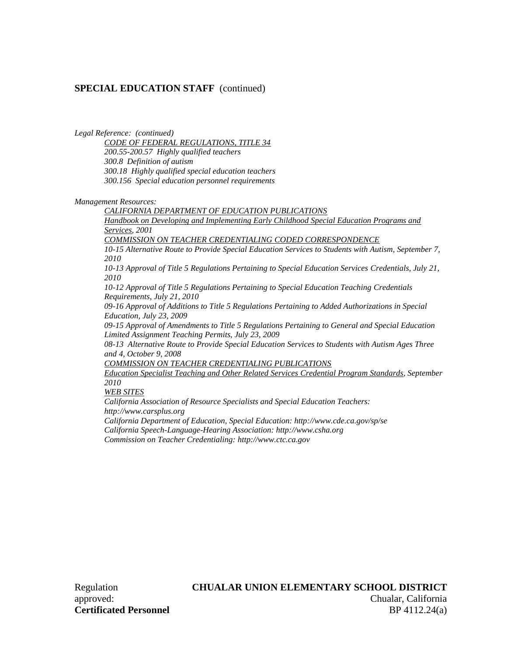*Legal Reference: (continued)*

*CODE OF FEDERAL REGULATIONS, TITLE 34 200.55-200.57 Highly qualified teachers 300.8 Definition of autism 300.18 Highly qualified special education teachers 300.156 Special education personnel requirements*

*Management Resources:*

*CALIFORNIA DEPARTMENT OF EDUCATION PUBLICATIONS*

*Handbook on Developing and Implementing Early Childhood Special Education Programs and Services, 2001*

*COMMISSION ON TEACHER CREDENTIALING CODED CORRESPONDENCE*

*10-15 Alternative Route to Provide Special Education Services to Students with Autism, September 7, 2010*

*10-13 Approval of Title 5 Regulations Pertaining to Special Education Services Credentials, July 21, 2010*

*10-12 Approval of Title 5 Regulations Pertaining to Special Education Teaching Credentials Requirements, July 21, 2010*

*09-16 Approval of Additions to Title 5 Regulations Pertaining to Added Authorizations in Special Education, July 23, 2009*

*09-15 Approval of Amendments to Title 5 Regulations Pertaining to General and Special Education Limited Assignment Teaching Permits, July 23, 2009*

*08-13 Alternative Route to Provide Special Education Services to Students with Autism Ages Three and 4, October 9, 2008*

*COMMISSION ON TEACHER CREDENTIALING PUBLICATIONS*

*Education Specialist Teaching and Other Related Services Credential Program Standards, September 2010*

*WEB SITES*

*California Association of Resource Specialists and Special Education Teachers: http://www.carsplus.org*

*California Department of Education, Special Education: http://www.cde.ca.gov/sp/se California Speech-Language-Hearing Association: http://www.csha.org Commission on Teacher Credentialing: http://www.ctc.ca.gov*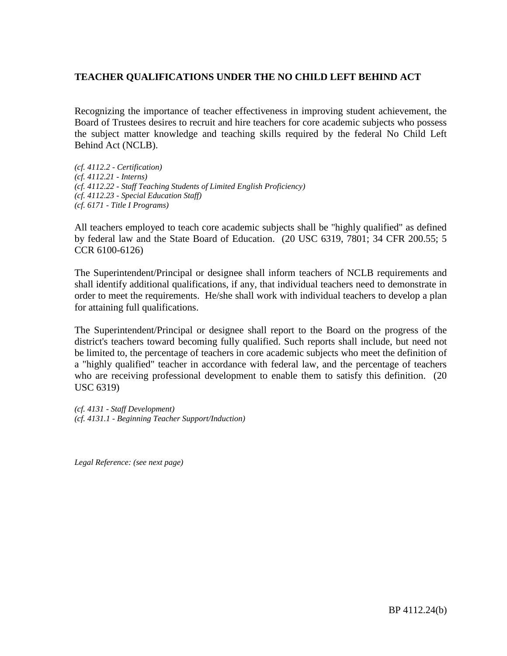Recognizing the importance of teacher effectiveness in improving student achievement, the Board of Trustees desires to recruit and hire teachers for core academic subjects who possess the subject matter knowledge and teaching skills required by the federal No Child Left Behind Act (NCLB).

*(cf. 4112.2 - Certification) (cf. 4112.21 - Interns) (cf. 4112.22 - Staff Teaching Students of Limited English Proficiency) (cf. 4112.23 - Special Education Staff) (cf. 6171 - Title I Programs)*

All teachers employed to teach core academic subjects shall be "highly qualified" as defined by federal law and the State Board of Education. (20 USC 6319, 7801; 34 CFR 200.55; 5 CCR 6100-6126)

The Superintendent/Principal or designee shall inform teachers of NCLB requirements and shall identify additional qualifications, if any, that individual teachers need to demonstrate in order to meet the requirements. He/she shall work with individual teachers to develop a plan for attaining full qualifications.

The Superintendent/Principal or designee shall report to the Board on the progress of the district's teachers toward becoming fully qualified. Such reports shall include, but need not be limited to, the percentage of teachers in core academic subjects who meet the definition of a "highly qualified" teacher in accordance with federal law, and the percentage of teachers who are receiving professional development to enable them to satisfy this definition. (20) USC 6319)

*(cf. 4131 - Staff Development) (cf. 4131.1 - Beginning Teacher Support/Induction)*

*Legal Reference: (see next page)*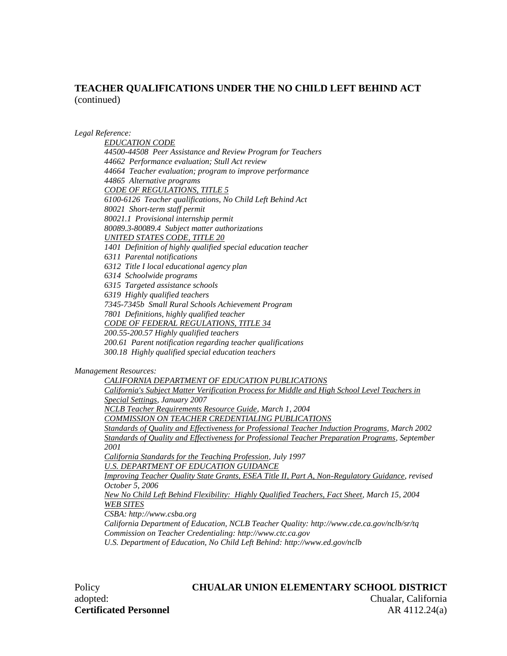#### *Legal Reference:*

*EDUCATION CODE 44500-44508 Peer Assistance and Review Program for Teachers 44662 Performance evaluation; Stull Act review 44664 Teacher evaluation; program to improve performance 44865 Alternative programs CODE OF REGULATIONS, TITLE 5 6100-6126 Teacher qualifications, No Child Left Behind Act 80021 Short-term staff permit 80021.1 Provisional internship permit 80089.3-80089.4 Subject matter authorizations UNITED STATES CODE, TITLE 20 1401 Definition of highly qualified special education teacher 6311 Parental notifications 6312 Title I local educational agency plan 6314 Schoolwide programs 6315 Targeted assistance schools 6319 Highly qualified teachers 7345-7345b Small Rural Schools Achievement Program 7801 Definitions, highly qualified teacher CODE OF FEDERAL REGULATIONS, TITLE 34 200.55-200.57 Highly qualified teachers 200.61 Parent notification regarding teacher qualifications 300.18 Highly qualified special education teachers*

#### *Management Resources:*

*CALIFORNIA DEPARTMENT OF EDUCATION PUBLICATIONS California's Subject Matter Verification Process for Middle and High School Level Teachers in Special Settings, January 2007 NCLB Teacher Requirements Resource Guide, March 1, 2004 COMMISSION ON TEACHER CREDENTIALING PUBLICATIONS Standards of Quality and Effectiveness for Professional Teacher Induction Programs, March 2002 Standards of Quality and Effectiveness for Professional Teacher Preparation Programs, September 2001 California Standards for the Teaching Profession, July 1997 U.S. DEPARTMENT OF EDUCATION GUIDANCE Improving Teacher Quality State Grants, ESEA Title II, Part A, Non-Regulatory Guidance, revised October 5, 2006 New No Child Left Behind Flexibility: Highly Qualified Teachers, Fact Sheet, March 15, 2004 WEB SITES CSBA: http://www.csba.org California Department of Education, NCLB Teacher Quality: http://www.cde.ca.gov/nclb/sr/tq Commission on Teacher Credentialing: http://www.ctc.ca.gov U.S. Department of Education, No Child Left Behind: http://www.ed.gov/nclb*

**Certificated Personnel AR 4112.24(a)** 

# Policy **CHUALAR UNION ELEMENTARY SCHOOL DISTRICT** adopted: Chualar, California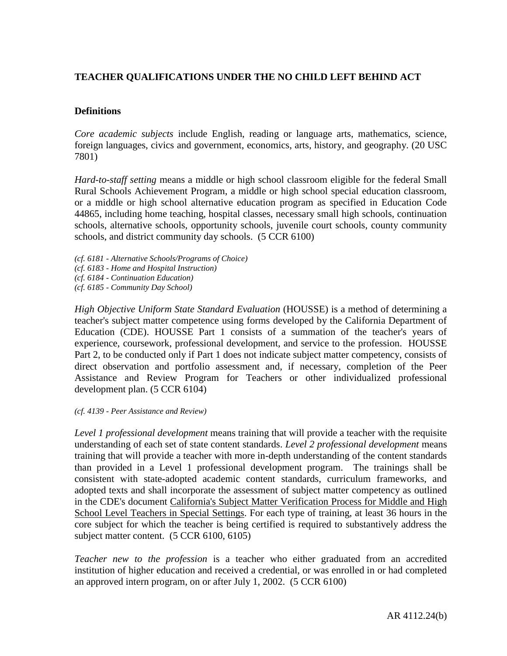## **Definitions**

*Core academic subjects* include English, reading or language arts, mathematics, science, foreign languages, civics and government, economics, arts, history, and geography. (20 USC 7801)

*Hard-to-staff setting* means a middle or high school classroom eligible for the federal Small Rural Schools Achievement Program, a middle or high school special education classroom, or a middle or high school alternative education program as specified in Education Code 44865, including home teaching, hospital classes, necessary small high schools, continuation schools, alternative schools, opportunity schools, juvenile court schools, county community schools, and district community day schools. (5 CCR 6100)

- *(cf. 6181 - Alternative Schools/Programs of Choice)*
- *(cf. 6183 - Home and Hospital Instruction)*
- *(cf. 6184 - Continuation Education)*
- *(cf. 6185 - Community Day School)*

*High Objective Uniform State Standard Evaluation* (HOUSSE) is a method of determining a teacher's subject matter competence using forms developed by the California Department of Education (CDE). HOUSSE Part 1 consists of a summation of the teacher's years of experience, coursework, professional development, and service to the profession. HOUSSE Part 2, to be conducted only if Part 1 does not indicate subject matter competency, consists of direct observation and portfolio assessment and, if necessary, completion of the Peer Assistance and Review Program for Teachers or other individualized professional development plan. (5 CCR 6104)

*(cf. 4139 - Peer Assistance and Review)*

*Level 1 professional development* means training that will provide a teacher with the requisite understanding of each set of state content standards. *Level 2 professional development* means training that will provide a teacher with more in-depth understanding of the content standards than provided in a Level 1 professional development program. The trainings shall be consistent with state-adopted academic content standards, curriculum frameworks, and adopted texts and shall incorporate the assessment of subject matter competency as outlined in the CDE's document California's Subject Matter Verification Process for Middle and High School Level Teachers in Special Settings. For each type of training, at least 36 hours in the core subject for which the teacher is being certified is required to substantively address the subject matter content. (5 CCR 6100, 6105)

*Teacher new to the profession* is a teacher who either graduated from an accredited institution of higher education and received a credential, or was enrolled in or had completed an approved intern program, on or after July 1, 2002. (5 CCR 6100)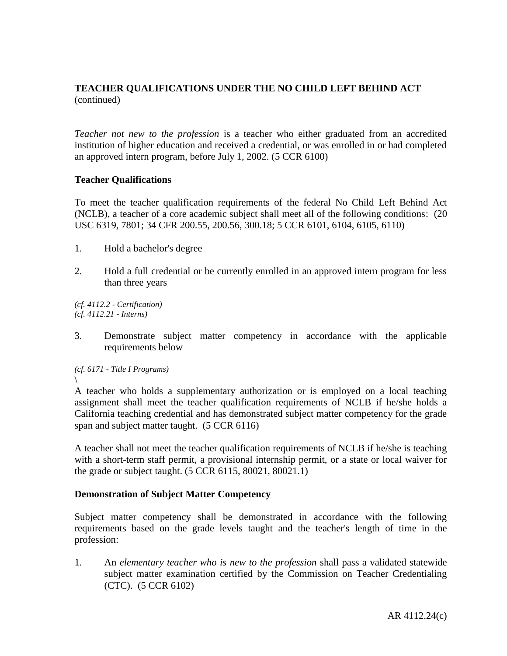*Teacher not new to the profession* is a teacher who either graduated from an accredited institution of higher education and received a credential, or was enrolled in or had completed an approved intern program, before July 1, 2002. (5 CCR 6100)

## **Teacher Qualifications**

To meet the teacher qualification requirements of the federal No Child Left Behind Act (NCLB), a teacher of a core academic subject shall meet all of the following conditions: (20 USC 6319, 7801; 34 CFR 200.55, 200.56, 300.18; 5 CCR 6101, 6104, 6105, 6110)

- 1. Hold a bachelor's degree
- 2. Hold a full credential or be currently enrolled in an approved intern program for less than three years

*(cf. 4112.2 - Certification) (cf. 4112.21 - Interns)*

3. Demonstrate subject matter competency in accordance with the applicable requirements below

*(cf. 6171 - Title I Programs)*  $\backslash$ 

A teacher who holds a supplementary authorization or is employed on a local teaching assignment shall meet the teacher qualification requirements of NCLB if he/she holds a California teaching credential and has demonstrated subject matter competency for the grade span and subject matter taught. (5 CCR 6116)

A teacher shall not meet the teacher qualification requirements of NCLB if he/she is teaching with a short-term staff permit, a provisional internship permit, or a state or local waiver for the grade or subject taught. (5 CCR 6115, 80021, 80021.1)

### **Demonstration of Subject Matter Competency**

Subject matter competency shall be demonstrated in accordance with the following requirements based on the grade levels taught and the teacher's length of time in the profession:

1. An *elementary teacher who is new to the profession* shall pass a validated statewide subject matter examination certified by the Commission on Teacher Credentialing (CTC). (5 CCR 6102)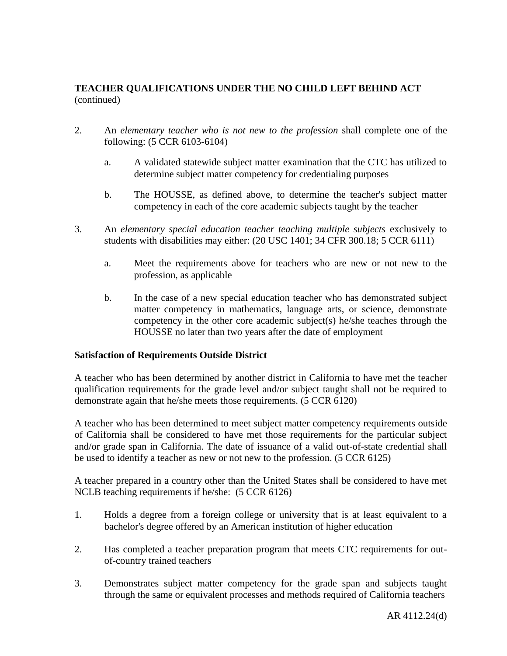- 2. An *elementary teacher who is not new to the profession* shall complete one of the following: (5 CCR 6103-6104)
	- a. A validated statewide subject matter examination that the CTC has utilized to determine subject matter competency for credentialing purposes
	- b. The HOUSSE, as defined above, to determine the teacher's subject matter competency in each of the core academic subjects taught by the teacher
- 3. An *elementary special education teacher teaching multiple subjects* exclusively to students with disabilities may either: (20 USC 1401; 34 CFR 300.18; 5 CCR 6111)
	- a. Meet the requirements above for teachers who are new or not new to the profession, as applicable
	- b. In the case of a new special education teacher who has demonstrated subject matter competency in mathematics, language arts, or science, demonstrate competency in the other core academic subject(s) he/she teaches through the HOUSSE no later than two years after the date of employment

### **Satisfaction of Requirements Outside District**

A teacher who has been determined by another district in California to have met the teacher qualification requirements for the grade level and/or subject taught shall not be required to demonstrate again that he/she meets those requirements. (5 CCR 6120)

A teacher who has been determined to meet subject matter competency requirements outside of California shall be considered to have met those requirements for the particular subject and/or grade span in California. The date of issuance of a valid out-of-state credential shall be used to identify a teacher as new or not new to the profession. (5 CCR 6125)

A teacher prepared in a country other than the United States shall be considered to have met NCLB teaching requirements if he/she: (5 CCR 6126)

- 1. Holds a degree from a foreign college or university that is at least equivalent to a bachelor's degree offered by an American institution of higher education
- 2. Has completed a teacher preparation program that meets CTC requirements for outof-country trained teachers
- 3. Demonstrates subject matter competency for the grade span and subjects taught through the same or equivalent processes and methods required of California teachers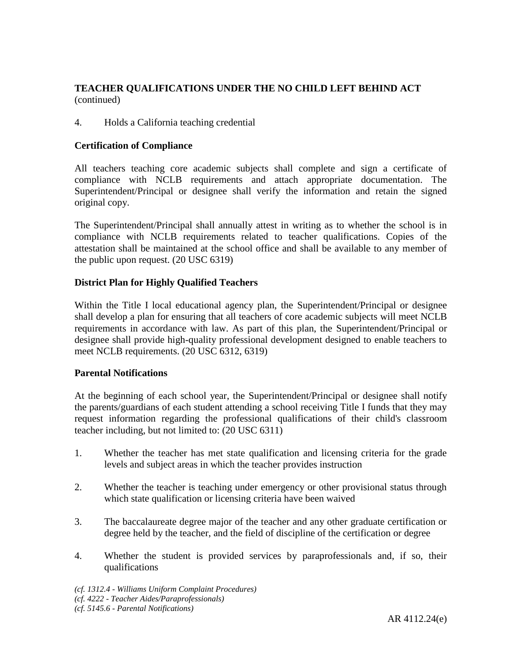# 4. Holds a California teaching credential

### **Certification of Compliance**

All teachers teaching core academic subjects shall complete and sign a certificate of compliance with NCLB requirements and attach appropriate documentation. The Superintendent/Principal or designee shall verify the information and retain the signed original copy.

The Superintendent/Principal shall annually attest in writing as to whether the school is in compliance with NCLB requirements related to teacher qualifications. Copies of the attestation shall be maintained at the school office and shall be available to any member of the public upon request. (20 USC 6319)

## **District Plan for Highly Qualified Teachers**

Within the Title I local educational agency plan, the Superintendent/Principal or designee shall develop a plan for ensuring that all teachers of core academic subjects will meet NCLB requirements in accordance with law. As part of this plan, the Superintendent/Principal or designee shall provide high-quality professional development designed to enable teachers to meet NCLB requirements. (20 USC 6312, 6319)

### **Parental Notifications**

At the beginning of each school year, the Superintendent/Principal or designee shall notify the parents/guardians of each student attending a school receiving Title I funds that they may request information regarding the professional qualifications of their child's classroom teacher including, but not limited to: (20 USC 6311)

- 1. Whether the teacher has met state qualification and licensing criteria for the grade levels and subject areas in which the teacher provides instruction
- 2. Whether the teacher is teaching under emergency or other provisional status through which state qualification or licensing criteria have been waived
- 3. The baccalaureate degree major of the teacher and any other graduate certification or degree held by the teacher, and the field of discipline of the certification or degree
- 4. Whether the student is provided services by paraprofessionals and, if so, their qualifications

*<sup>(</sup>cf. 1312.4 - Williams Uniform Complaint Procedures) (cf. 4222 - Teacher Aides/Paraprofessionals)*

*<sup>(</sup>cf. 5145.6 - Parental Notifications)*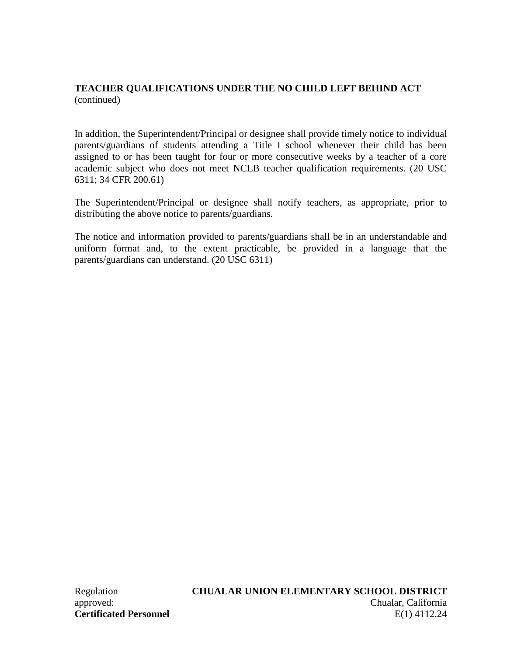In addition, the Superintendent/Principal or designee shall provide timely notice to individual parents/guardians of students attending a Title I school whenever their child has been assigned to or has been taught for four or more consecutive weeks by a teacher of a core academic subject who does not meet NCLB teacher qualification requirements. (20 USC 6311; 34 CFR 200.61)

The Superintendent/Principal or designee shall notify teachers, as appropriate, prior to distributing the above notice to parents/guardians.

The notice and information provided to parents/guardians shall be in an understandable and uniform format and, to the extent practicable, be provided in a language that the parents/guardians can understand. (20 USC 6311)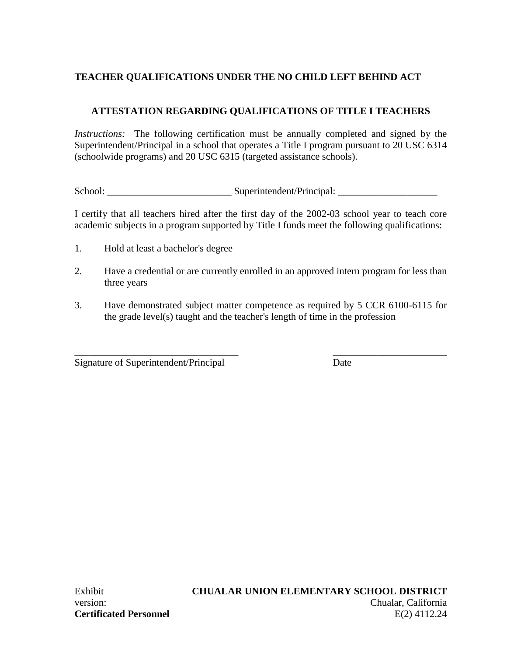# **ATTESTATION REGARDING QUALIFICATIONS OF TITLE I TEACHERS**

*Instructions:* The following certification must be annually completed and signed by the Superintendent/Principal in a school that operates a Title I program pursuant to 20 USC 6314 (schoolwide programs) and 20 USC 6315 (targeted assistance schools).

School: \_\_\_\_\_\_\_\_\_\_\_\_\_\_\_\_\_\_\_\_\_\_\_\_\_ Superintendent/Principal: \_\_\_\_\_\_\_\_\_\_\_\_\_\_\_\_\_\_\_\_

I certify that all teachers hired after the first day of the 2002-03 school year to teach core academic subjects in a program supported by Title I funds meet the following qualifications:

- 1. Hold at least a bachelor's degree
- 2. Have a credential or are currently enrolled in an approved intern program for less than three years
- 3. Have demonstrated subject matter competence as required by 5 CCR 6100-6115 for the grade level(s) taught and the teacher's length of time in the profession

\_\_\_\_\_\_\_\_\_\_\_\_\_\_\_\_\_\_\_\_\_\_\_\_\_\_\_\_\_\_\_\_\_ \_\_\_\_\_\_\_\_\_\_\_\_\_\_\_\_\_\_\_\_\_\_\_

Signature of Superintendent/Principal Date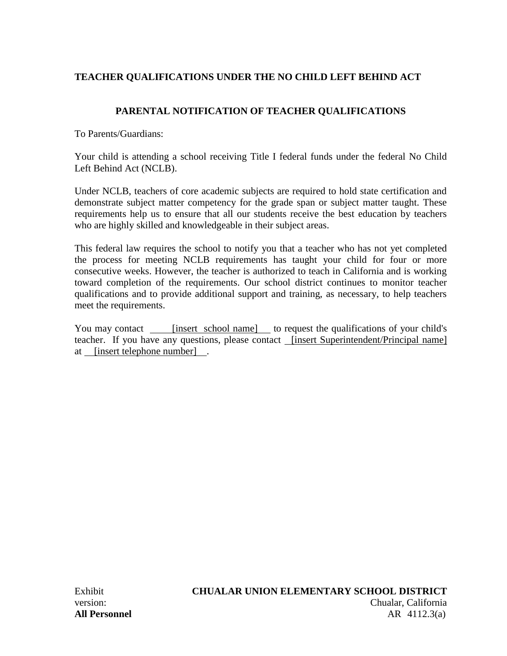# **PARENTAL NOTIFICATION OF TEACHER QUALIFICATIONS**

To Parents/Guardians:

Your child is attending a school receiving Title I federal funds under the federal No Child Left Behind Act (NCLB).

Under NCLB, teachers of core academic subjects are required to hold state certification and demonstrate subject matter competency for the grade span or subject matter taught. These requirements help us to ensure that all our students receive the best education by teachers who are highly skilled and knowledgeable in their subject areas.

This federal law requires the school to notify you that a teacher who has not yet completed the process for meeting NCLB requirements has taught your child for four or more consecutive weeks. However, the teacher is authorized to teach in California and is working toward completion of the requirements. Our school district continues to monitor teacher qualifications and to provide additional support and training, as necessary, to help teachers meet the requirements.

You may contact **[insert school name]** to request the qualifications of your child's teacher. If you have any questions, please contact [insert Superintendent/Principal name] at [insert telephone number] .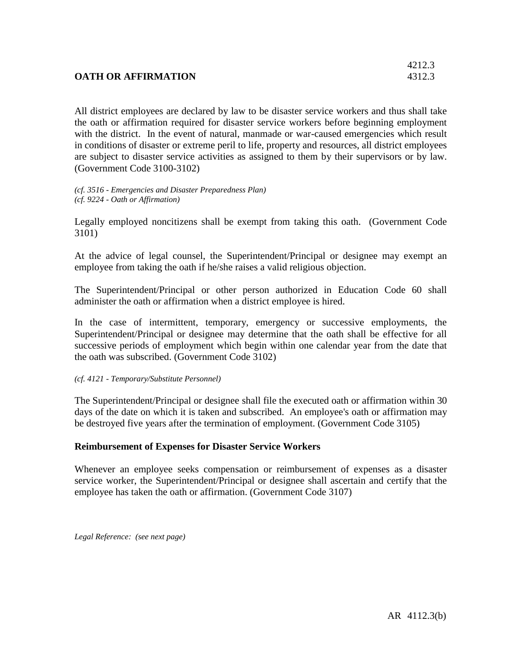# **OATH OR AFFIRMATION** 4312.3

All district employees are declared by law to be disaster service workers and thus shall take the oath or affirmation required for disaster service workers before beginning employment with the district. In the event of natural, manmade or war-caused emergencies which result in conditions of disaster or extreme peril to life, property and resources, all district employees are subject to disaster service activities as assigned to them by their supervisors or by law. (Government Code 3100-3102)

*(cf. 3516 - Emergencies and Disaster Preparedness Plan) (cf. 9224 - Oath or Affirmation)*

Legally employed noncitizens shall be exempt from taking this oath. (Government Code 3101)

At the advice of legal counsel, the Superintendent/Principal or designee may exempt an employee from taking the oath if he/she raises a valid religious objection.

The Superintendent/Principal or other person authorized in Education Code 60 shall administer the oath or affirmation when a district employee is hired.

In the case of intermittent, temporary, emergency or successive employments, the Superintendent/Principal or designee may determine that the oath shall be effective for all successive periods of employment which begin within one calendar year from the date that the oath was subscribed. (Government Code 3102)

#### *(cf. 4121 - Temporary/Substitute Personnel)*

The Superintendent/Principal or designee shall file the executed oath or affirmation within 30 days of the date on which it is taken and subscribed. An employee's oath or affirmation may be destroyed five years after the termination of employment. (Government Code 3105)

### **Reimbursement of Expenses for Disaster Service Workers**

Whenever an employee seeks compensation or reimbursement of expenses as a disaster service worker, the Superintendent/Principal or designee shall ascertain and certify that the employee has taken the oath or affirmation. (Government Code 3107)

*Legal Reference: (see next page)*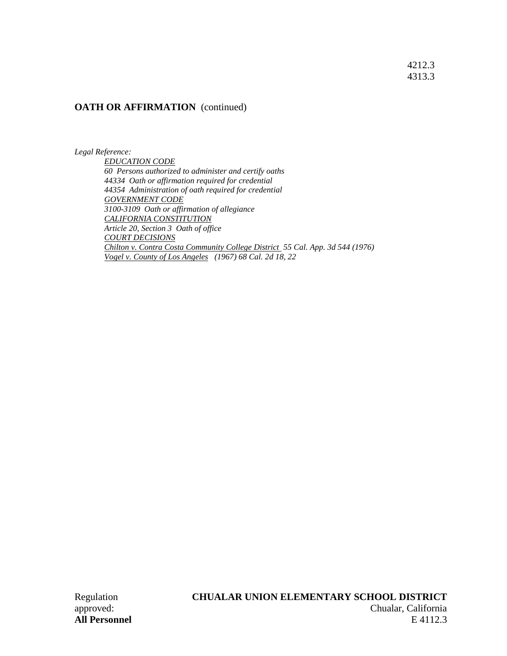4212.3 4313.3

#### **OATH OR AFFIRMATION** (continued)

*Legal Reference:*

*EDUCATION CODE 60 Persons authorized to administer and certify oaths 44334 Oath or affirmation required for credential 44354 Administration of oath required for credential GOVERNMENT CODE 3100-3109 Oath or affirmation of allegiance CALIFORNIA CONSTITUTION Article 20, Section 3 Oath of office COURT DECISIONS Chilton v. Contra Costa Community College District 55 Cal. App. 3d 544 (1976) Vogel v. County of Los Angeles (1967) 68 Cal. 2d 18, 22*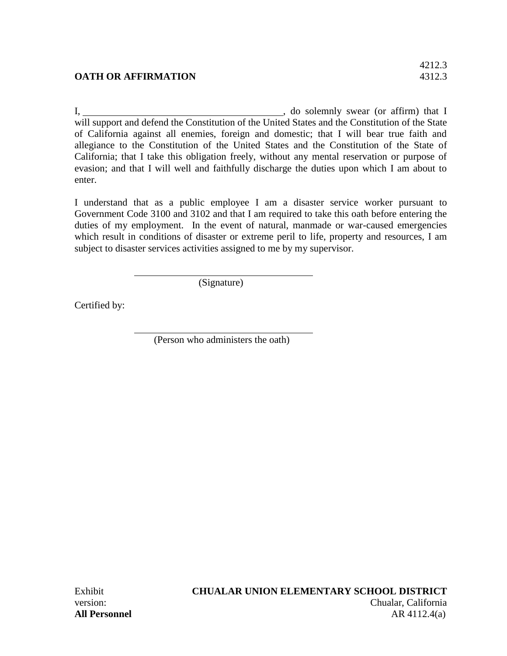# **OATH OR AFFIRMATION** 4312.3

I, , do solemnly swear (or affirm) that I will support and defend the Constitution of the United States and the Constitution of the State of California against all enemies, foreign and domestic; that I will bear true faith and allegiance to the Constitution of the United States and the Constitution of the State of California; that I take this obligation freely, without any mental reservation or purpose of evasion; and that I will well and faithfully discharge the duties upon which I am about to enter.

I understand that as a public employee I am a disaster service worker pursuant to Government Code 3100 and 3102 and that I am required to take this oath before entering the duties of my employment. In the event of natural, manmade or war-caused emergencies which result in conditions of disaster or extreme peril to life, property and resources, I am subject to disaster services activities assigned to me by my supervisor.

(Signature)

Certified by:

(Person who administers the oath)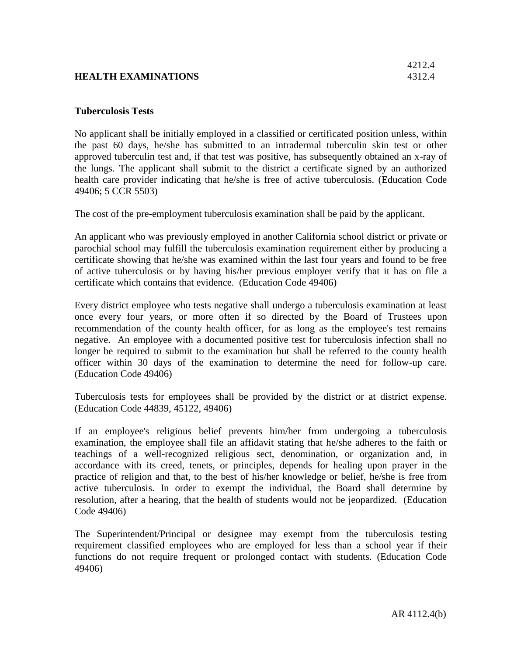# **HEALTH EXAMINATIONS** 4312.4

#### **Tuberculosis Tests**

No applicant shall be initially employed in a classified or certificated position unless, within the past 60 days, he/she has submitted to an intradermal tuberculin skin test or other approved tuberculin test and, if that test was positive, has subsequently obtained an x-ray of the lungs. The applicant shall submit to the district a certificate signed by an authorized health care provider indicating that he/she is free of active tuberculosis. (Education Code 49406; 5 CCR 5503)

The cost of the pre-employment tuberculosis examination shall be paid by the applicant.

An applicant who was previously employed in another California school district or private or parochial school may fulfill the tuberculosis examination requirement either by producing a certificate showing that he/she was examined within the last four years and found to be free of active tuberculosis or by having his/her previous employer verify that it has on file a certificate which contains that evidence. (Education Code 49406)

Every district employee who tests negative shall undergo a tuberculosis examination at least once every four years, or more often if so directed by the Board of Trustees upon recommendation of the county health officer, for as long as the employee's test remains negative. An employee with a documented positive test for tuberculosis infection shall no longer be required to submit to the examination but shall be referred to the county health officer within 30 days of the examination to determine the need for follow-up care. (Education Code 49406)

Tuberculosis tests for employees shall be provided by the district or at district expense. (Education Code 44839, 45122, 49406)

If an employee's religious belief prevents him/her from undergoing a tuberculosis examination, the employee shall file an affidavit stating that he/she adheres to the faith or teachings of a well-recognized religious sect, denomination, or organization and, in accordance with its creed, tenets, or principles, depends for healing upon prayer in the practice of religion and that, to the best of his/her knowledge or belief, he/she is free from active tuberculosis. In order to exempt the individual, the Board shall determine by resolution, after a hearing, that the health of students would not be jeopardized. (Education Code 49406)

The Superintendent/Principal or designee may exempt from the tuberculosis testing requirement classified employees who are employed for less than a school year if their functions do not require frequent or prolonged contact with students. (Education Code 49406)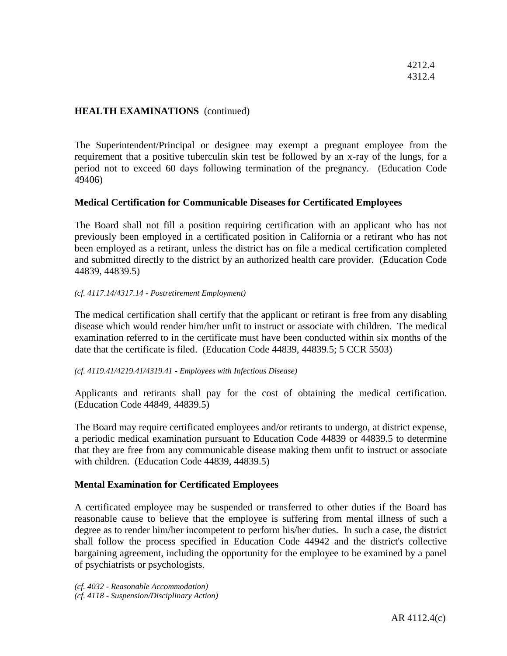### **HEALTH EXAMINATIONS** (continued)

The Superintendent/Principal or designee may exempt a pregnant employee from the requirement that a positive tuberculin skin test be followed by an x-ray of the lungs, for a period not to exceed 60 days following termination of the pregnancy. (Education Code 49406)

### **Medical Certification for Communicable Diseases for Certificated Employees**

The Board shall not fill a position requiring certification with an applicant who has not previously been employed in a certificated position in California or a retirant who has not been employed as a retirant, unless the district has on file a medical certification completed and submitted directly to the district by an authorized health care provider. (Education Code 44839, 44839.5)

#### *(cf. 4117.14/4317.14 - Postretirement Employment)*

The medical certification shall certify that the applicant or retirant is free from any disabling disease which would render him/her unfit to instruct or associate with children. The medical examination referred to in the certificate must have been conducted within six months of the date that the certificate is filed. (Education Code 44839, 44839.5; 5 CCR 5503)

#### *(cf. 4119.41/4219.41/4319.41 - Employees with Infectious Disease)*

Applicants and retirants shall pay for the cost of obtaining the medical certification. (Education Code 44849, 44839.5)

The Board may require certificated employees and/or retirants to undergo, at district expense, a periodic medical examination pursuant to Education Code 44839 or 44839.5 to determine that they are free from any communicable disease making them unfit to instruct or associate with children. (Education Code 44839, 44839.5)

### **Mental Examination for Certificated Employees**

A certificated employee may be suspended or transferred to other duties if the Board has reasonable cause to believe that the employee is suffering from mental illness of such a degree as to render him/her incompetent to perform his/her duties. In such a case, the district shall follow the process specified in Education Code 44942 and the district's collective bargaining agreement, including the opportunity for the employee to be examined by a panel of psychiatrists or psychologists.

*(cf. 4032 - Reasonable Accommodation) (cf. 4118 - Suspension/Disciplinary Action)*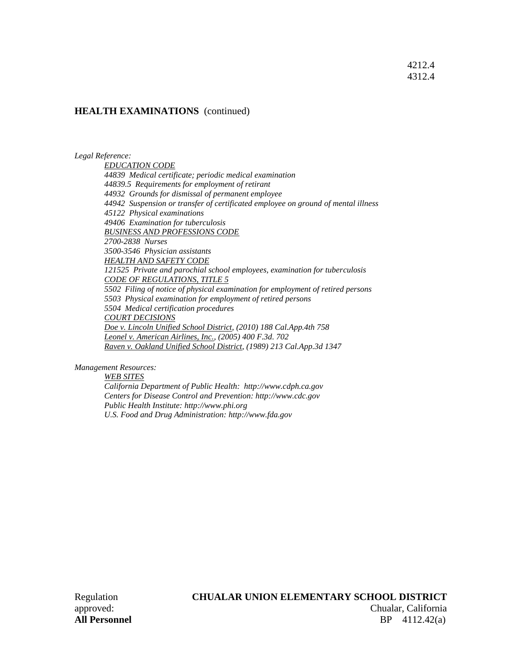#### 4212.4 4312.4

#### **HEALTH EXAMINATIONS** (continued)

*Legal Reference:*

*EDUCATION CODE 44839 Medical certificate; periodic medical examination 44839.5 Requirements for employment of retirant 44932 Grounds for dismissal of permanent employee 44942 Suspension or transfer of certificated employee on ground of mental illness 45122 Physical examinations 49406 Examination for tuberculosis BUSINESS AND PROFESSIONS CODE 2700-2838 Nurses 3500-3546 Physician assistants HEALTH AND SAFETY CODE 121525 Private and parochial school employees, examination for tuberculosis CODE OF REGULATIONS, TITLE 5 5502 Filing of notice of physical examination for employment of retired persons 5503 Physical examination for employment of retired persons 5504 Medical certification procedures COURT DECISIONS Doe v. Lincoln Unified School District, (2010) 188 Cal.App.4th 758 Leonel v. American Airlines, Inc., (2005) 400 F.3d. 702 Raven v. Oakland Unified School District, (1989) 213 Cal.App.3d 1347*

*Management Resources:*

*WEB SITES*

*California Department of Public Health: http://www.cdph.ca.gov Centers for Disease Control and Prevention: http://www.cdc.gov Public Health Institute: http://www.phi.org U.S. Food and Drug Administration: http://www.fda.gov*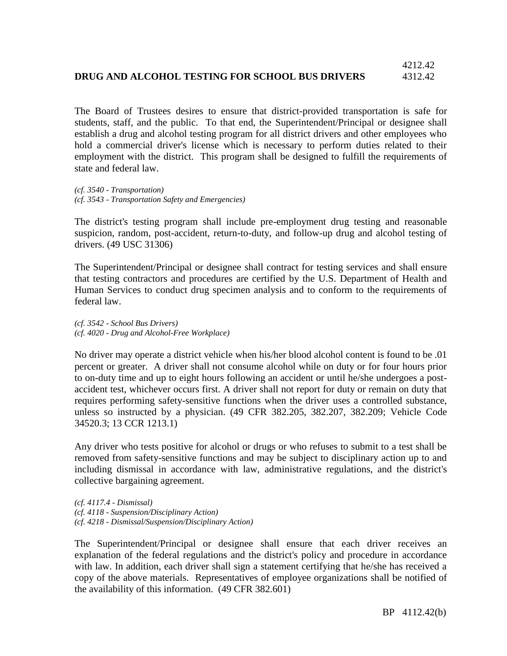# **DRUG AND ALCOHOL TESTING FOR SCHOOL BUS DRIVERS** 4312.42

The Board of Trustees desires to ensure that district-provided transportation is safe for students, staff, and the public. To that end, the Superintendent/Principal or designee shall establish a drug and alcohol testing program for all district drivers and other employees who hold a commercial driver's license which is necessary to perform duties related to their employment with the district. This program shall be designed to fulfill the requirements of state and federal law.

*(cf. 3540 - Transportation) (cf. 3543 - Transportation Safety and Emergencies)*

The district's testing program shall include pre-employment drug testing and reasonable suspicion, random, post-accident, return-to-duty, and follow-up drug and alcohol testing of drivers. (49 USC 31306)

The Superintendent/Principal or designee shall contract for testing services and shall ensure that testing contractors and procedures are certified by the U.S. Department of Health and Human Services to conduct drug specimen analysis and to conform to the requirements of federal law.

*(cf. 3542 - School Bus Drivers) (cf. 4020 - Drug and Alcohol-Free Workplace)*

No driver may operate a district vehicle when his/her blood alcohol content is found to be .01 percent or greater. A driver shall not consume alcohol while on duty or for four hours prior to on-duty time and up to eight hours following an accident or until he/she undergoes a postaccident test, whichever occurs first. A driver shall not report for duty or remain on duty that requires performing safety-sensitive functions when the driver uses a controlled substance, unless so instructed by a physician. (49 CFR 382.205, 382.207, 382.209; Vehicle Code 34520.3; 13 CCR 1213.1)

Any driver who tests positive for alcohol or drugs or who refuses to submit to a test shall be removed from safety-sensitive functions and may be subject to disciplinary action up to and including dismissal in accordance with law, administrative regulations, and the district's collective bargaining agreement.

*(cf. 4117.4 - Dismissal) (cf. 4118 - Suspension/Disciplinary Action) (cf. 4218 - Dismissal/Suspension/Disciplinary Action)*

The Superintendent/Principal or designee shall ensure that each driver receives an explanation of the federal regulations and the district's policy and procedure in accordance with law. In addition, each driver shall sign a statement certifying that he/she has received a copy of the above materials. Representatives of employee organizations shall be notified of the availability of this information. (49 CFR 382.601)

4212.42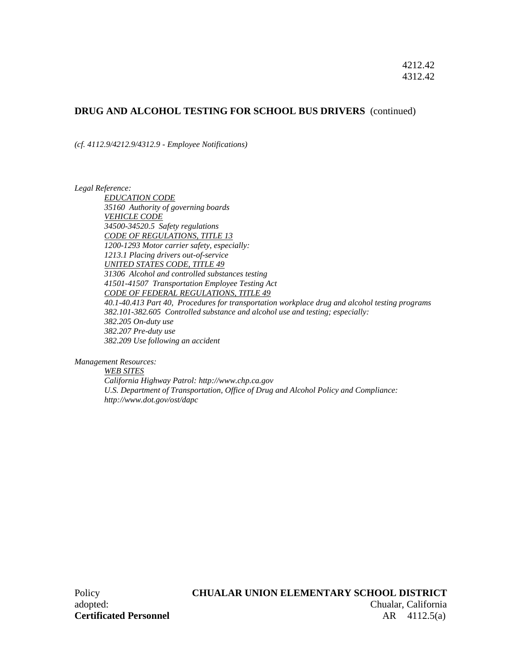#### **DRUG AND ALCOHOL TESTING FOR SCHOOL BUS DRIVERS** (continued)

*(cf. 4112.9/4212.9/4312.9 - Employee Notifications)*

*Legal Reference:*

*EDUCATION CODE 35160 Authority of governing boards VEHICLE CODE 34500-34520.5 Safety regulations CODE OF REGULATIONS, TITLE 13 1200-1293 Motor carrier safety, especially: 1213.1 Placing drivers out-of-service UNITED STATES CODE, TITLE 49 31306 Alcohol and controlled substances testing 41501-41507 Transportation Employee Testing Act CODE OF FEDERAL REGULATIONS, TITLE 49 40.1-40.413 Part 40, Procedures for transportation workplace drug and alcohol testing programs 382.101-382.605 Controlled substance and alcohol use and testing; especially: 382.205 On-duty use 382.207 Pre-duty use 382.209 Use following an accident*

*Management Resources:*

*WEB SITES California Highway Patrol: http://www.chp.ca.gov U.S. Department of Transportation, Office of Drug and Alcohol Policy and Compliance: http://www.dot.gov/ost/dapc*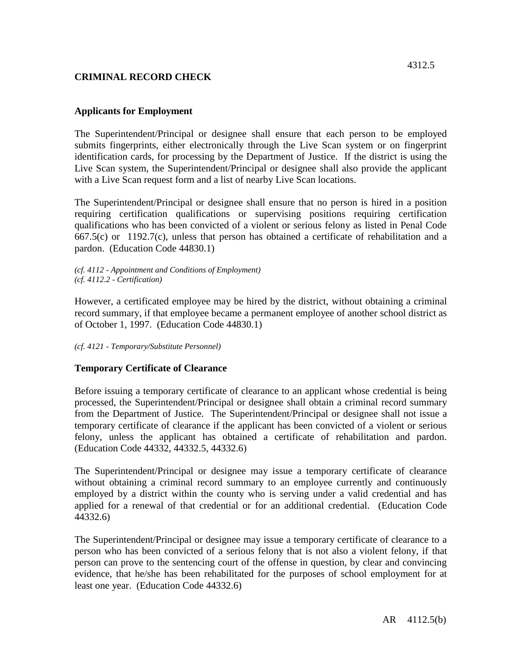# **CRIMINAL RECORD CHECK**

## **Applicants for Employment**

The Superintendent/Principal or designee shall ensure that each person to be employed submits fingerprints, either electronically through the Live Scan system or on fingerprint identification cards, for processing by the Department of Justice. If the district is using the Live Scan system, the Superintendent/Principal or designee shall also provide the applicant with a Live Scan request form and a list of nearby Live Scan locations.

The Superintendent/Principal or designee shall ensure that no person is hired in a position requiring certification qualifications or supervising positions requiring certification qualifications who has been convicted of a violent or serious felony as listed in Penal Code 667.5(c) or 1192.7(c), unless that person has obtained a certificate of rehabilitation and a pardon. (Education Code 44830.1)

*(cf. 4112 - Appointment and Conditions of Employment) (cf. 4112.2 - Certification)*

However, a certificated employee may be hired by the district, without obtaining a criminal record summary, if that employee became a permanent employee of another school district as of October 1, 1997. (Education Code 44830.1)

*(cf. 4121 - Temporary/Substitute Personnel)*

### **Temporary Certificate of Clearance**

Before issuing a temporary certificate of clearance to an applicant whose credential is being processed, the Superintendent/Principal or designee shall obtain a criminal record summary from the Department of Justice. The Superintendent/Principal or designee shall not issue a temporary certificate of clearance if the applicant has been convicted of a violent or serious felony, unless the applicant has obtained a certificate of rehabilitation and pardon. (Education Code 44332, 44332.5, 44332.6)

The Superintendent/Principal or designee may issue a temporary certificate of clearance without obtaining a criminal record summary to an employee currently and continuously employed by a district within the county who is serving under a valid credential and has applied for a renewal of that credential or for an additional credential. (Education Code 44332.6)

The Superintendent/Principal or designee may issue a temporary certificate of clearance to a person who has been convicted of a serious felony that is not also a violent felony, if that person can prove to the sentencing court of the offense in question, by clear and convincing evidence, that he/she has been rehabilitated for the purposes of school employment for at least one year. (Education Code 44332.6)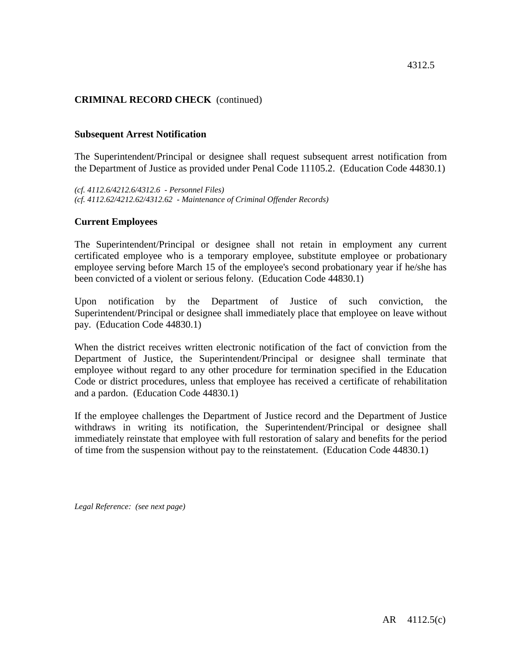## **CRIMINAL RECORD CHECK** (continued)

#### **Subsequent Arrest Notification**

The Superintendent/Principal or designee shall request subsequent arrest notification from the Department of Justice as provided under Penal Code 11105.2. (Education Code 44830.1)

*(cf. 4112.6/4212.6/4312.6 - Personnel Files) (cf. 4112.62/4212.62/4312.62 - Maintenance of Criminal Offender Records)*

#### **Current Employees**

The Superintendent/Principal or designee shall not retain in employment any current certificated employee who is a temporary employee, substitute employee or probationary employee serving before March 15 of the employee's second probationary year if he/she has been convicted of a violent or serious felony. (Education Code 44830.1)

Upon notification by the Department of Justice of such conviction, the Superintendent/Principal or designee shall immediately place that employee on leave without pay. (Education Code 44830.1)

When the district receives written electronic notification of the fact of conviction from the Department of Justice, the Superintendent/Principal or designee shall terminate that employee without regard to any other procedure for termination specified in the Education Code or district procedures, unless that employee has received a certificate of rehabilitation and a pardon. (Education Code 44830.1)

If the employee challenges the Department of Justice record and the Department of Justice withdraws in writing its notification, the Superintendent/Principal or designee shall immediately reinstate that employee with full restoration of salary and benefits for the period of time from the suspension without pay to the reinstatement. (Education Code 44830.1)

*Legal Reference: (see next page)*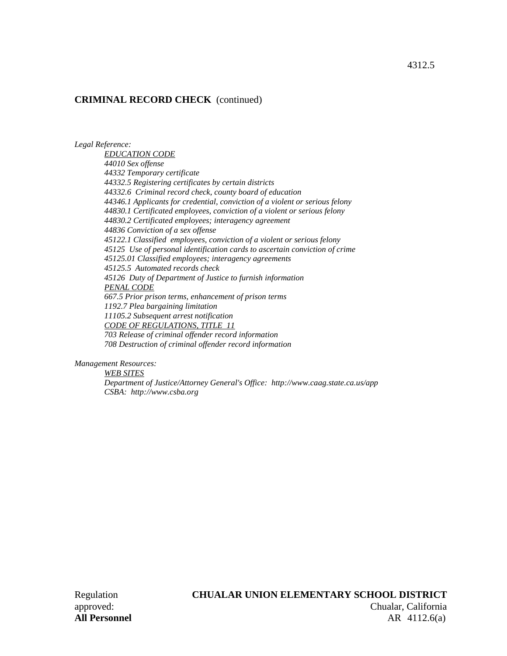#### **CRIMINAL RECORD CHECK** (continued)

*Legal Reference:*

*EDUCATION CODE 44010 Sex offense 44332 Temporary certificate 44332.5 Registering certificates by certain districts 44332.6 Criminal record check, county board of education 44346.1 Applicants for credential, conviction of a violent or serious felony 44830.1 Certificated employees, conviction of a violent or serious felony 44830.2 Certificated employees; interagency agreement 44836 Conviction of a sex offense 45122.1 Classified employees, conviction of a violent or serious felony 45125 Use of personal identification cards to ascertain conviction of crime 45125.01 Classified employees; interagency agreements 45125.5 Automated records check 45126 Duty of Department of Justice to furnish information PENAL CODE 667.5 Prior prison terms, enhancement of prison terms 1192.7 Plea bargaining limitation 11105.2 Subsequent arrest notification CODE OF REGULATIONS, TITLE 11 703 Release of criminal offender record information 708 Destruction of criminal offender record information*

*Management Resources:*

*WEB SITES Department of Justice/Attorney General's Office: http://www.caag.state.ca.us/app CSBA: http://www.csba.org*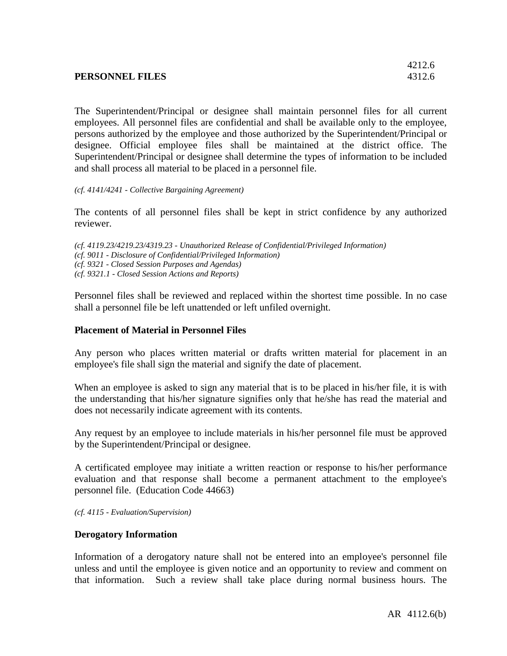|                 | 4212.0 |
|-----------------|--------|
| PERSONNEL FILES | 4312.6 |
|                 |        |

The Superintendent/Principal or designee shall maintain personnel files for all current employees. All personnel files are confidential and shall be available only to the employee, persons authorized by the employee and those authorized by the Superintendent/Principal or designee. Official employee files shall be maintained at the district office. The Superintendent/Principal or designee shall determine the types of information to be included and shall process all material to be placed in a personnel file.

*(cf. 4141/4241 - Collective Bargaining Agreement)*

The contents of all personnel files shall be kept in strict confidence by any authorized reviewer.

*(cf. 4119.23/4219.23/4319.23 - Unauthorized Release of Confidential/Privileged Information) (cf. 9011 - Disclosure of Confidential/Privileged Information) (cf. 9321 - Closed Session Purposes and Agendas) (cf. 9321.1 - Closed Session Actions and Reports)*

Personnel files shall be reviewed and replaced within the shortest time possible. In no case shall a personnel file be left unattended or left unfiled overnight.

### **Placement of Material in Personnel Files**

Any person who places written material or drafts written material for placement in an employee's file shall sign the material and signify the date of placement.

When an employee is asked to sign any material that is to be placed in his/her file, it is with the understanding that his/her signature signifies only that he/she has read the material and does not necessarily indicate agreement with its contents.

Any request by an employee to include materials in his/her personnel file must be approved by the Superintendent/Principal or designee.

A certificated employee may initiate a written reaction or response to his/her performance evaluation and that response shall become a permanent attachment to the employee's personnel file. (Education Code 44663)

*(cf. 4115 - Evaluation/Supervision)*

### **Derogatory Information**

Information of a derogatory nature shall not be entered into an employee's personnel file unless and until the employee is given notice and an opportunity to review and comment on that information. Such a review shall take place during normal business hours. The

 $4212.6$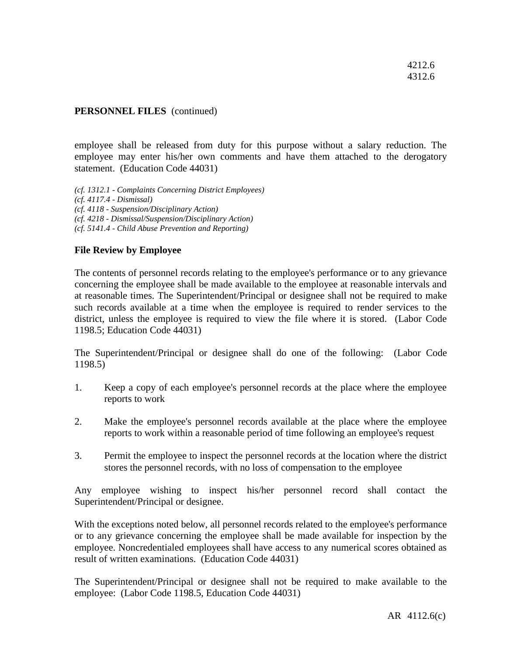#### **PERSONNEL FILES** (continued)

employee shall be released from duty for this purpose without a salary reduction. The employee may enter his/her own comments and have them attached to the derogatory statement. (Education Code 44031)

*(cf. 1312.1 - Complaints Concerning District Employees) (cf. 4117.4 - Dismissal) (cf. 4118 - Suspension/Disciplinary Action) (cf. 4218 - Dismissal/Suspension/Disciplinary Action) (cf. 5141.4 - Child Abuse Prevention and Reporting)*

#### **File Review by Employee**

The contents of personnel records relating to the employee's performance or to any grievance concerning the employee shall be made available to the employee at reasonable intervals and at reasonable times. The Superintendent/Principal or designee shall not be required to make such records available at a time when the employee is required to render services to the district, unless the employee is required to view the file where it is stored. (Labor Code 1198.5; Education Code 44031)

The Superintendent/Principal or designee shall do one of the following: (Labor Code 1198.5)

- 1. Keep a copy of each employee's personnel records at the place where the employee reports to work
- 2. Make the employee's personnel records available at the place where the employee reports to work within a reasonable period of time following an employee's request
- 3. Permit the employee to inspect the personnel records at the location where the district stores the personnel records, with no loss of compensation to the employee

Any employee wishing to inspect his/her personnel record shall contact the Superintendent/Principal or designee.

With the exceptions noted below, all personnel records related to the employee's performance or to any grievance concerning the employee shall be made available for inspection by the employee. Noncredentialed employees shall have access to any numerical scores obtained as result of written examinations. (Education Code 44031)

The Superintendent/Principal or designee shall not be required to make available to the employee: (Labor Code 1198.5, Education Code 44031)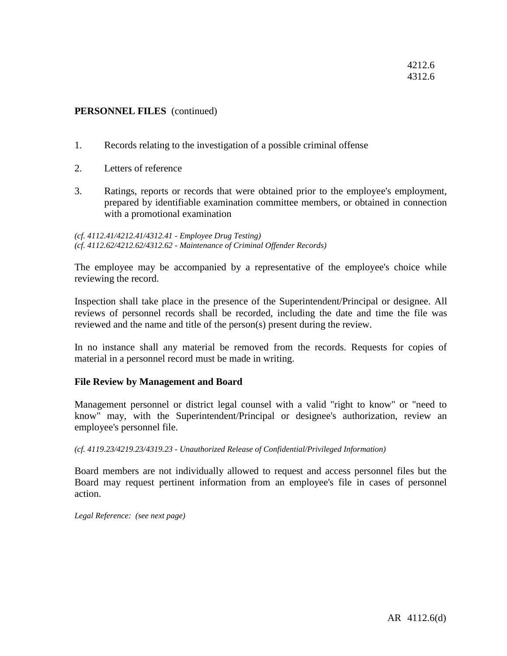#### **PERSONNEL FILES** (continued)

- 1. Records relating to the investigation of a possible criminal offense
- 2. Letters of reference
- 3. Ratings, reports or records that were obtained prior to the employee's employment, prepared by identifiable examination committee members, or obtained in connection with a promotional examination

*(cf. 4112.41/4212.41/4312.41 - Employee Drug Testing) (cf. 4112.62/4212.62/4312.62 - Maintenance of Criminal Offender Records)*

The employee may be accompanied by a representative of the employee's choice while reviewing the record.

Inspection shall take place in the presence of the Superintendent/Principal or designee. All reviews of personnel records shall be recorded, including the date and time the file was reviewed and the name and title of the person(s) present during the review.

In no instance shall any material be removed from the records. Requests for copies of material in a personnel record must be made in writing.

#### **File Review by Management and Board**

Management personnel or district legal counsel with a valid "right to know" or "need to know" may, with the Superintendent/Principal or designee's authorization, review an employee's personnel file.

*(cf. 4119.23/4219.23/4319.23 - Unauthorized Release of Confidential/Privileged Information)*

Board members are not individually allowed to request and access personnel files but the Board may request pertinent information from an employee's file in cases of personnel action.

*Legal Reference: (see next page)*